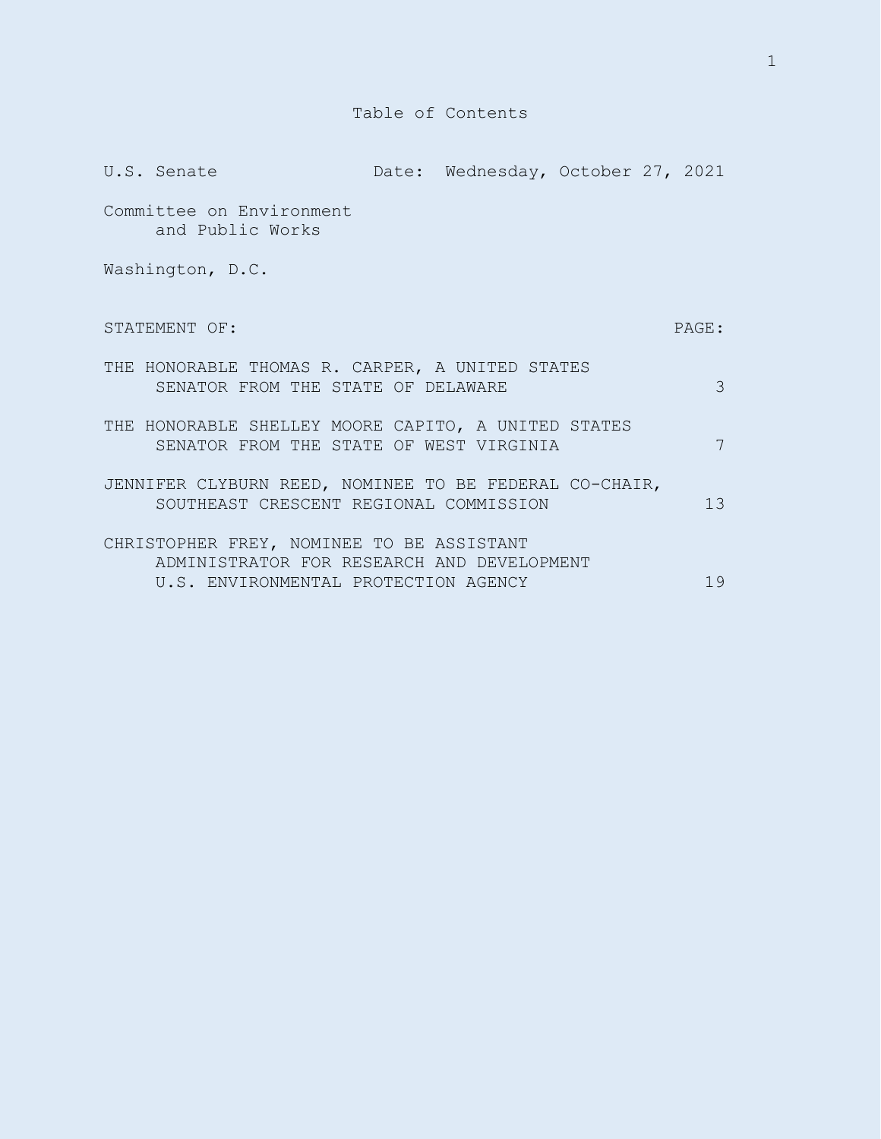|                                                                                                                                 | U.S. Senate                                                                                      |  | Date: Wednesday, October 27, 2021 |  |               |
|---------------------------------------------------------------------------------------------------------------------------------|--------------------------------------------------------------------------------------------------|--|-----------------------------------|--|---------------|
|                                                                                                                                 | Committee on Environment<br>and Public Works                                                     |  |                                   |  |               |
|                                                                                                                                 | Washington, D.C.                                                                                 |  |                                   |  |               |
|                                                                                                                                 | STATEMENT OF:                                                                                    |  |                                   |  | PAGE:         |
|                                                                                                                                 | THE HONORABLE THOMAS R. CARPER, A UNITED STATES<br>SENATOR FROM THE STATE OF DELAWARE            |  |                                   |  | $\mathcal{S}$ |
|                                                                                                                                 | THE HONORABLE SHELLEY MOORE CAPITO, A UNITED STATES<br>SENATOR FROM THE STATE OF WEST VIRGINIA   |  |                                   |  | 7             |
|                                                                                                                                 | JENNIFER CLYBURN REED, NOMINEE TO BE FEDERAL CO-CHAIR,<br>SOUTHEAST CRESCENT REGIONAL COMMISSION |  |                                   |  | 13            |
| CHRISTOPHER FREY, NOMINEE TO BE ASSISTANT<br>ADMINISTRATOR FOR RESEARCH AND DEVELOPMENT<br>U.S. ENVIRONMENTAL PROTECTION AGENCY |                                                                                                  |  |                                   |  | 19            |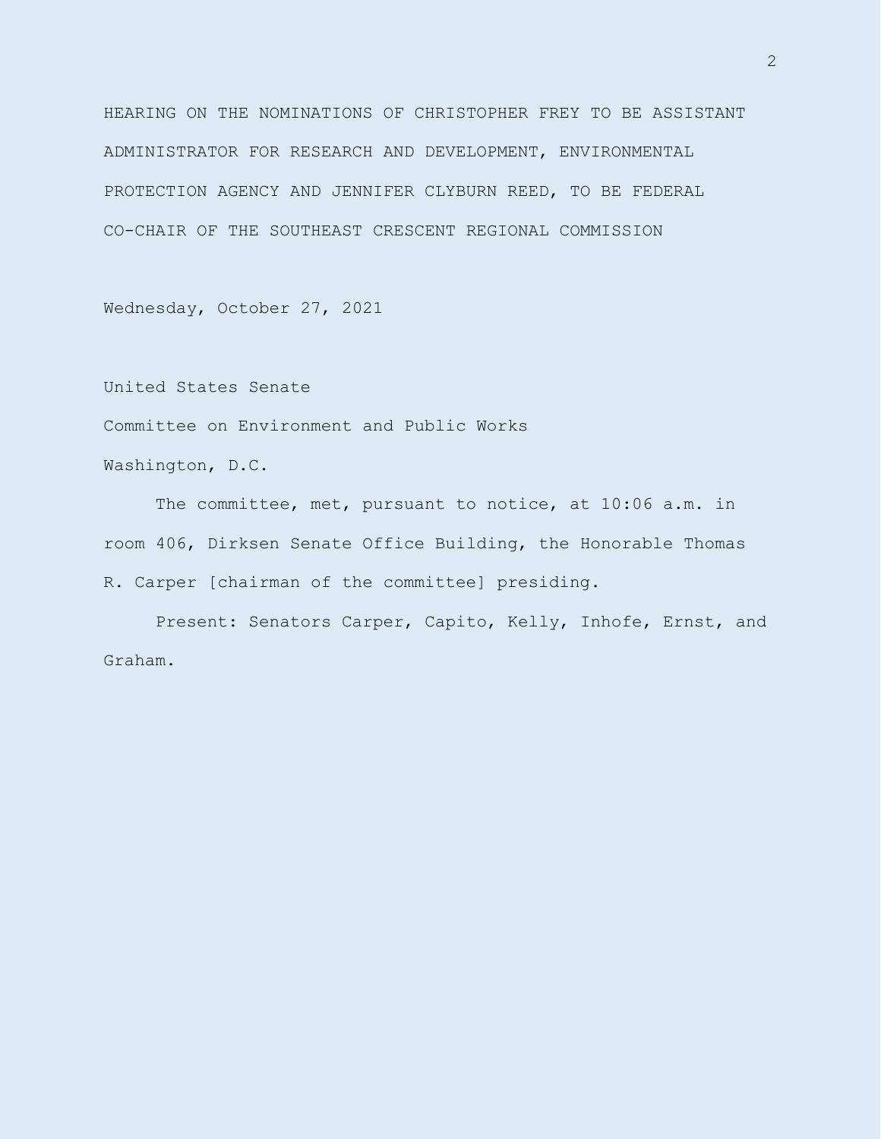HEARING ON THE NOMINATIONS OF CHRISTOPHER FREY TO BE ASSISTANT ADMINISTRATOR FOR RESEARCH AND DEVELOPMENT, ENVIRONMENTAL PROTECTION AGENCY AND JENNIFER CLYBURN REED, TO BE FEDERAL CO-CHAIR OF THE SOUTHEAST CRESCENT REGIONAL COMMISSION

Wednesday, October 27, 2021

United States Senate

Committee on Environment and Public Works

Washington, D.C.

The committee, met, pursuant to notice, at 10:06 a.m. in room 406, Dirksen Senate Office Building, the Honorable Thomas R. Carper [chairman of the committee] presiding.

Present: Senators Carper, Capito, Kelly, Inhofe, Ernst, and Graham.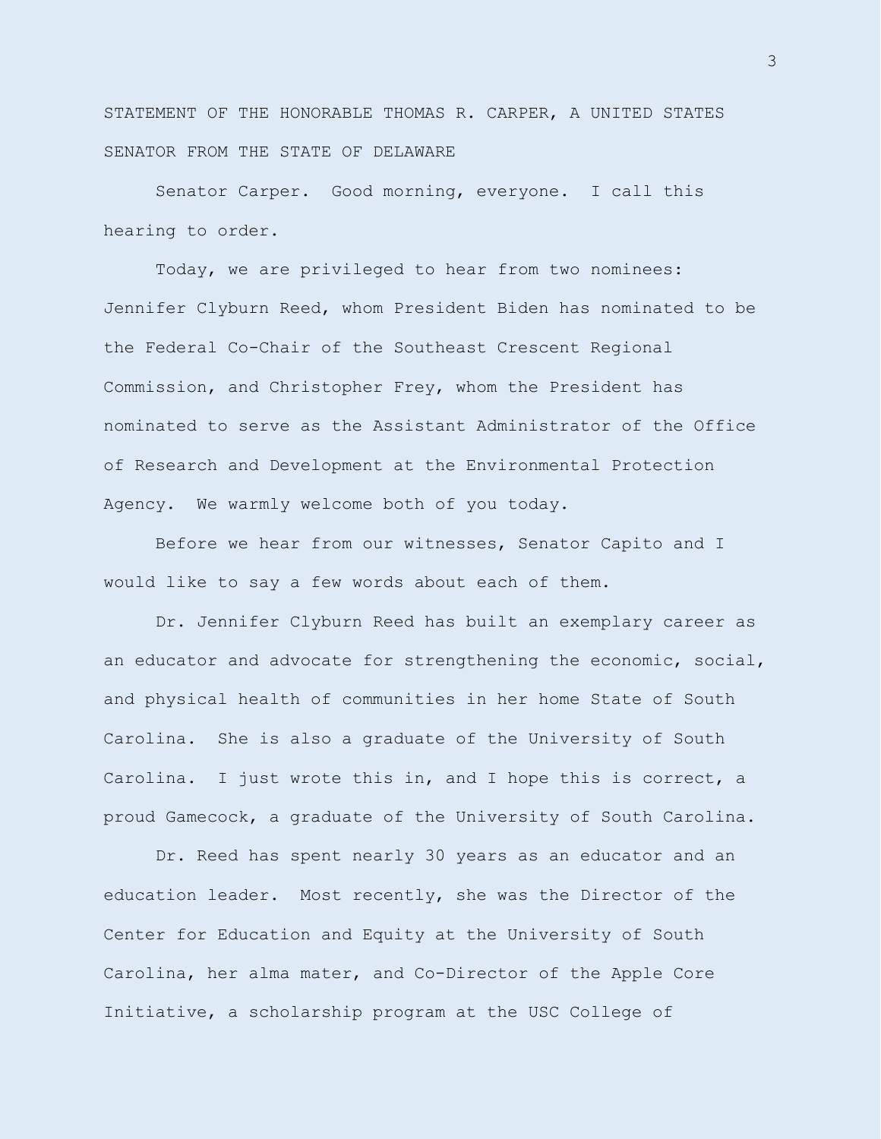STATEMENT OF THE HONORABLE THOMAS R. CARPER, A UNITED STATES SENATOR FROM THE STATE OF DELAWARE

Senator Carper. Good morning, everyone. I call this hearing to order.

Today, we are privileged to hear from two nominees: Jennifer Clyburn Reed, whom President Biden has nominated to be the Federal Co-Chair of the Southeast Crescent Regional Commission, and Christopher Frey, whom the President has nominated to serve as the Assistant Administrator of the Office of Research and Development at the Environmental Protection Agency. We warmly welcome both of you today.

Before we hear from our witnesses, Senator Capito and I would like to say a few words about each of them.

Dr. Jennifer Clyburn Reed has built an exemplary career as an educator and advocate for strengthening the economic, social, and physical health of communities in her home State of South Carolina. She is also a graduate of the University of South Carolina. I just wrote this in, and I hope this is correct, a proud Gamecock, a graduate of the University of South Carolina.

Dr. Reed has spent nearly 30 years as an educator and an education leader. Most recently, she was the Director of the Center for Education and Equity at the University of South Carolina, her alma mater, and Co-Director of the Apple Core Initiative, a scholarship program at the USC College of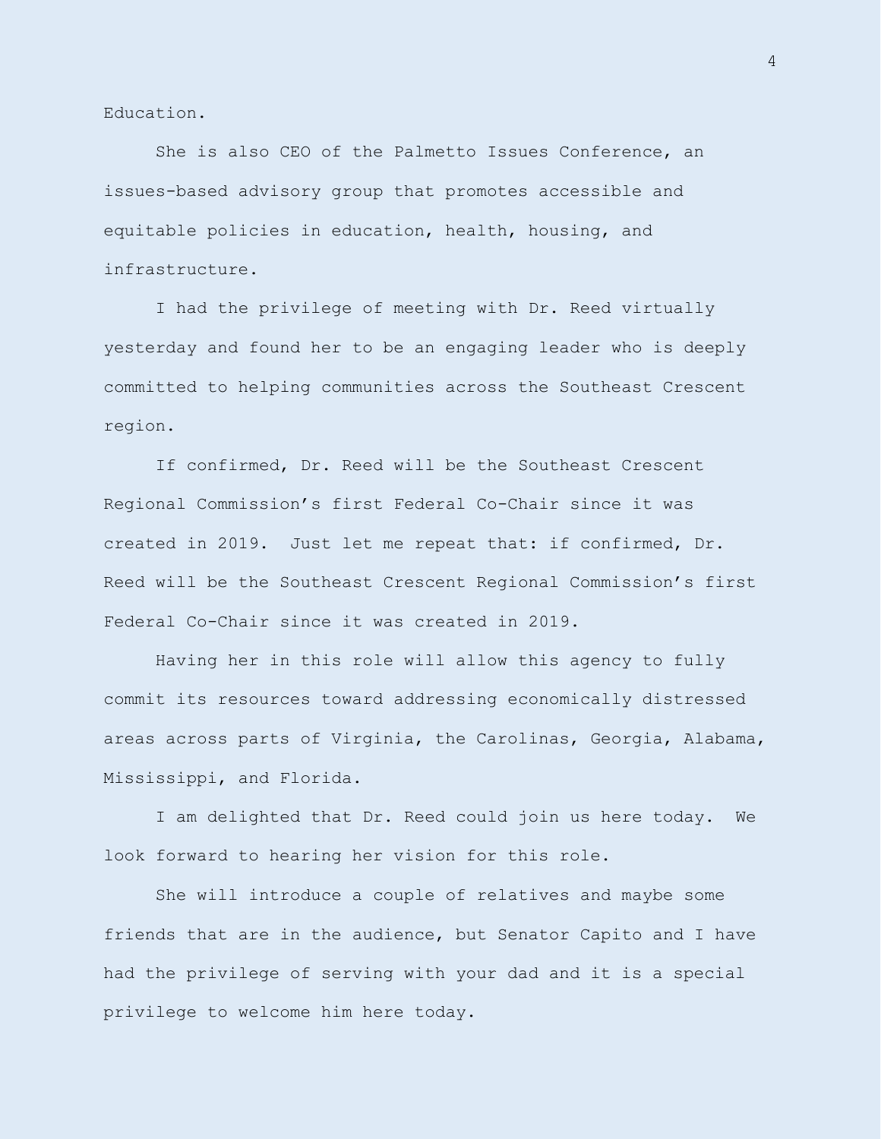Education.

She is also CEO of the Palmetto Issues Conference, an issues-based advisory group that promotes accessible and equitable policies in education, health, housing, and infrastructure.

I had the privilege of meeting with Dr. Reed virtually yesterday and found her to be an engaging leader who is deeply committed to helping communities across the Southeast Crescent region.

If confirmed, Dr. Reed will be the Southeast Crescent Regional Commission's first Federal Co-Chair since it was created in 2019. Just let me repeat that: if confirmed, Dr. Reed will be the Southeast Crescent Regional Commission's first Federal Co-Chair since it was created in 2019.

Having her in this role will allow this agency to fully commit its resources toward addressing economically distressed areas across parts of Virginia, the Carolinas, Georgia, Alabama, Mississippi, and Florida.

I am delighted that Dr. Reed could join us here today. We look forward to hearing her vision for this role.

She will introduce a couple of relatives and maybe some friends that are in the audience, but Senator Capito and I have had the privilege of serving with your dad and it is a special privilege to welcome him here today.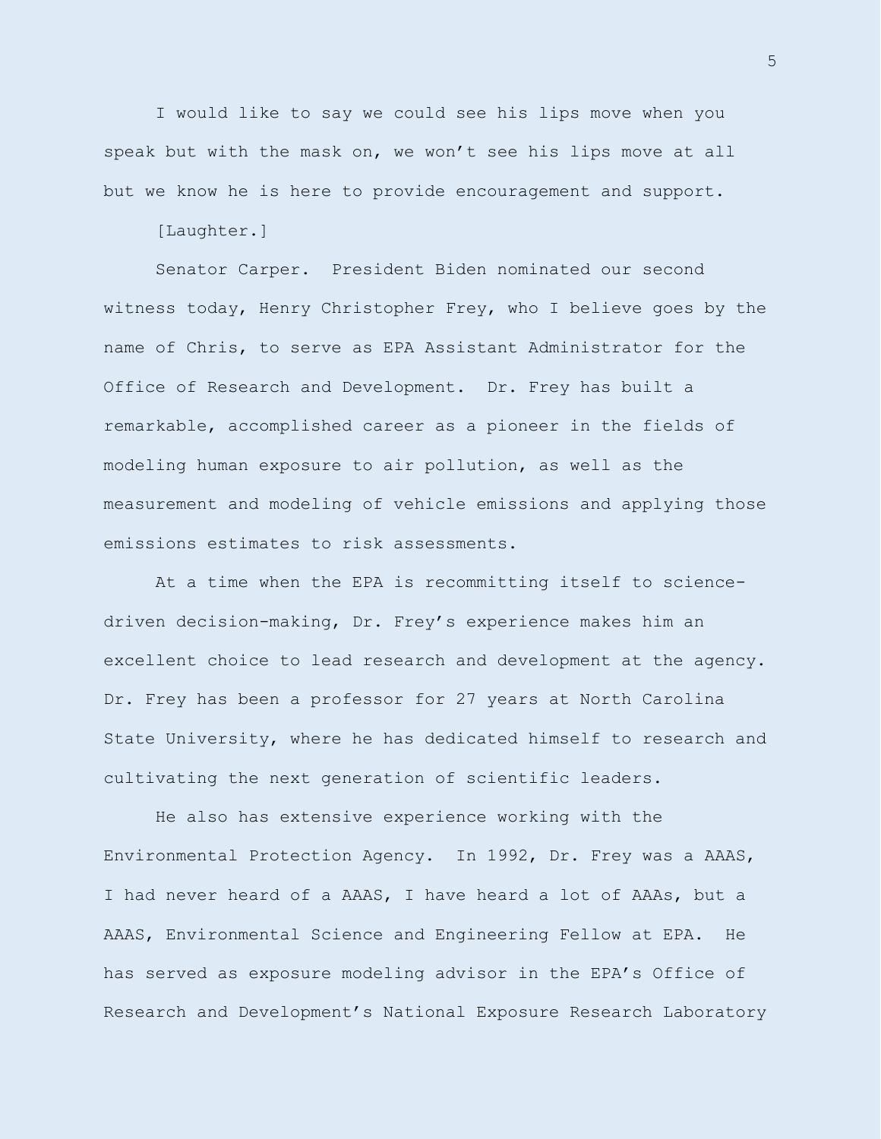I would like to say we could see his lips move when you speak but with the mask on, we won't see his lips move at all but we know he is here to provide encouragement and support.

[Laughter.]

Senator Carper. President Biden nominated our second witness today, Henry Christopher Frey, who I believe goes by the name of Chris, to serve as EPA Assistant Administrator for the Office of Research and Development. Dr. Frey has built a remarkable, accomplished career as a pioneer in the fields of modeling human exposure to air pollution, as well as the measurement and modeling of vehicle emissions and applying those emissions estimates to risk assessments.

At a time when the EPA is recommitting itself to sciencedriven decision-making, Dr. Frey's experience makes him an excellent choice to lead research and development at the agency. Dr. Frey has been a professor for 27 years at North Carolina State University, where he has dedicated himself to research and cultivating the next generation of scientific leaders.

He also has extensive experience working with the Environmental Protection Agency. In 1992, Dr. Frey was a AAAS, I had never heard of a AAAS, I have heard a lot of AAAs, but a AAAS, Environmental Science and Engineering Fellow at EPA. He has served as exposure modeling advisor in the EPA's Office of Research and Development's National Exposure Research Laboratory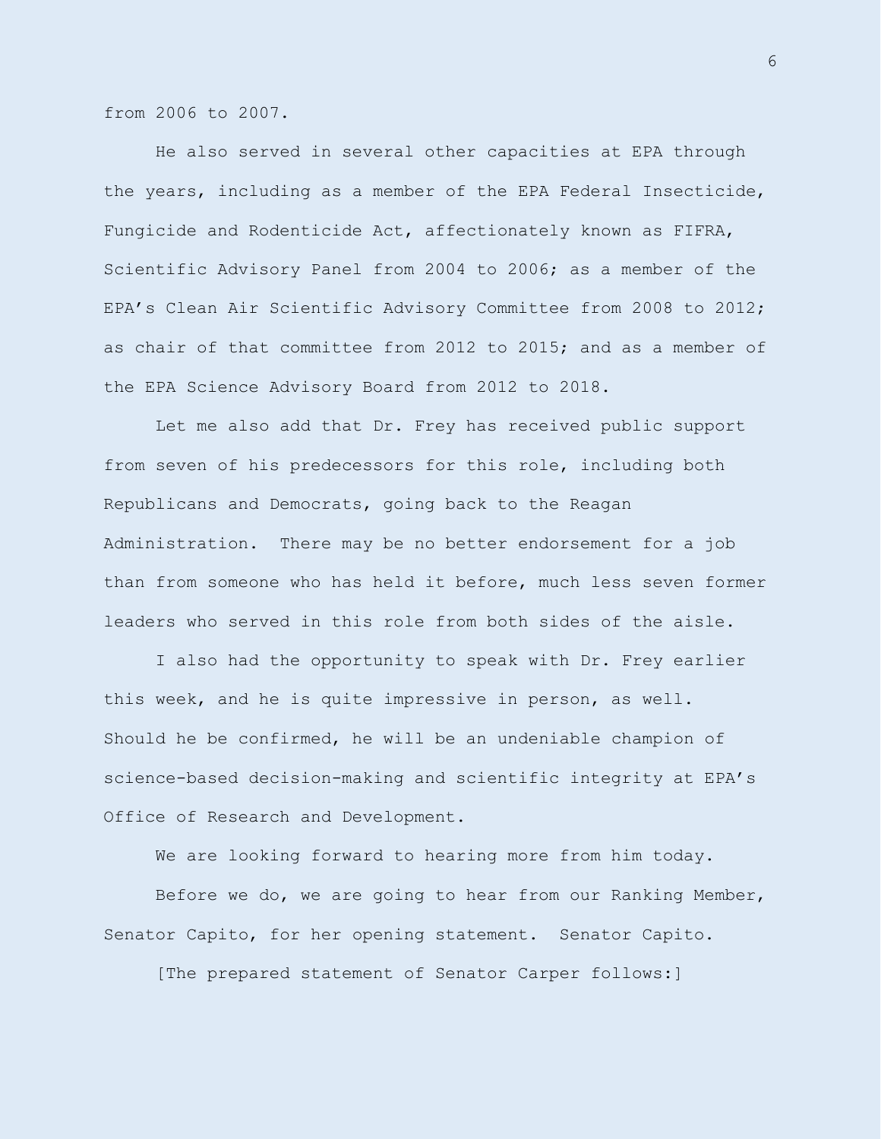from 2006 to 2007.

He also served in several other capacities at EPA through the years, including as a member of the EPA Federal Insecticide, Fungicide and Rodenticide Act, affectionately known as FIFRA, Scientific Advisory Panel from 2004 to 2006; as a member of the EPA's Clean Air Scientific Advisory Committee from 2008 to 2012; as chair of that committee from 2012 to 2015; and as a member of the EPA Science Advisory Board from 2012 to 2018.

Let me also add that Dr. Frey has received public support from seven of his predecessors for this role, including both Republicans and Democrats, going back to the Reagan Administration. There may be no better endorsement for a job than from someone who has held it before, much less seven former leaders who served in this role from both sides of the aisle.

I also had the opportunity to speak with Dr. Frey earlier this week, and he is quite impressive in person, as well. Should he be confirmed, he will be an undeniable champion of science-based decision-making and scientific integrity at EPA's Office of Research and Development.

We are looking forward to hearing more from him today.

Before we do, we are going to hear from our Ranking Member, Senator Capito, for her opening statement. Senator Capito.

[The prepared statement of Senator Carper follows:]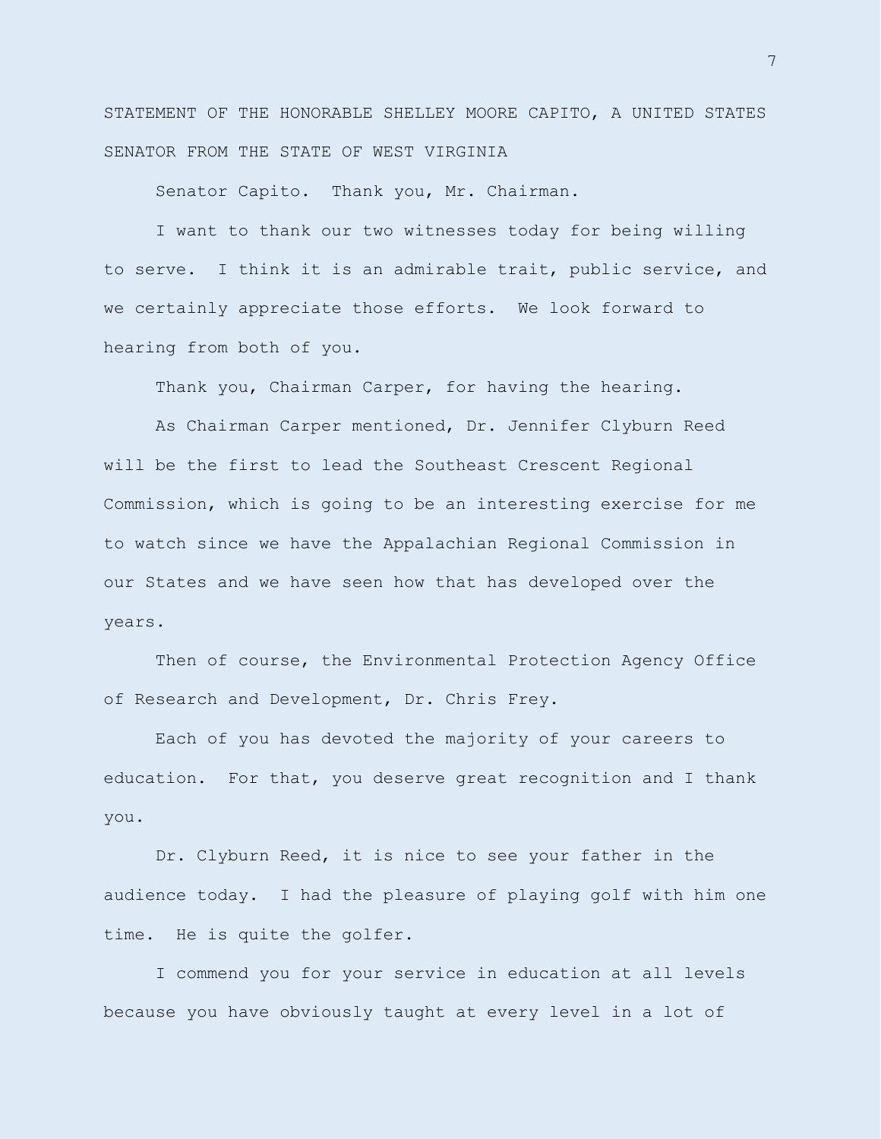STATEMENT OF THE HONORABLE SHELLEY MOORE CAPITO, A UNITED STATES SENATOR FROM THE STATE OF WEST VIRGINIA

Senator Capito. Thank you, Mr. Chairman.

I want to thank our two witnesses today for being willing to serve. I think it is an admirable trait, public service, and we certainly appreciate those efforts. We look forward to hearing from both of you.

Thank you, Chairman Carper, for having the hearing.

As Chairman Carper mentioned, Dr. Jennifer Clyburn Reed will be the first to lead the Southeast Crescent Regional Commission, which is going to be an interesting exercise for me to watch since we have the Appalachian Regional Commission in our States and we have seen how that has developed over the years.

Then of course, the Environmental Protection Agency Office of Research and Development, Dr. Chris Frey.

Each of you has devoted the majority of your careers to education. For that, you deserve great recognition and I thank you.

Dr. Clyburn Reed, it is nice to see your father in the audience today. I had the pleasure of playing golf with him one time. He is quite the golfer.

I commend you for your service in education at all levels because you have obviously taught at every level in a lot of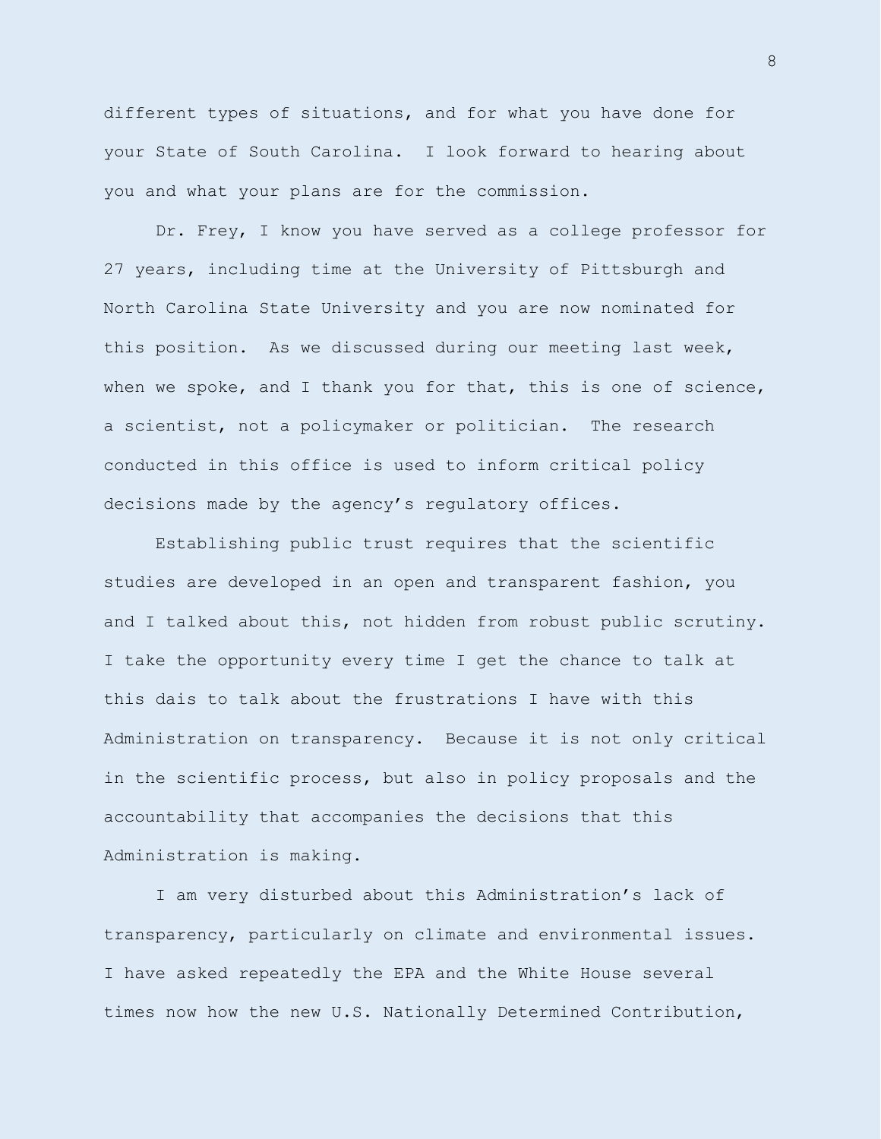different types of situations, and for what you have done for your State of South Carolina. I look forward to hearing about you and what your plans are for the commission.

Dr. Frey, I know you have served as a college professor for 27 years, including time at the University of Pittsburgh and North Carolina State University and you are now nominated for this position. As we discussed during our meeting last week, when we spoke, and I thank you for that, this is one of science, a scientist, not a policymaker or politician. The research conducted in this office is used to inform critical policy decisions made by the agency's regulatory offices.

Establishing public trust requires that the scientific studies are developed in an open and transparent fashion, you and I talked about this, not hidden from robust public scrutiny. I take the opportunity every time I get the chance to talk at this dais to talk about the frustrations I have with this Administration on transparency. Because it is not only critical in the scientific process, but also in policy proposals and the accountability that accompanies the decisions that this Administration is making.

I am very disturbed about this Administration's lack of transparency, particularly on climate and environmental issues. I have asked repeatedly the EPA and the White House several times now how the new U.S. Nationally Determined Contribution,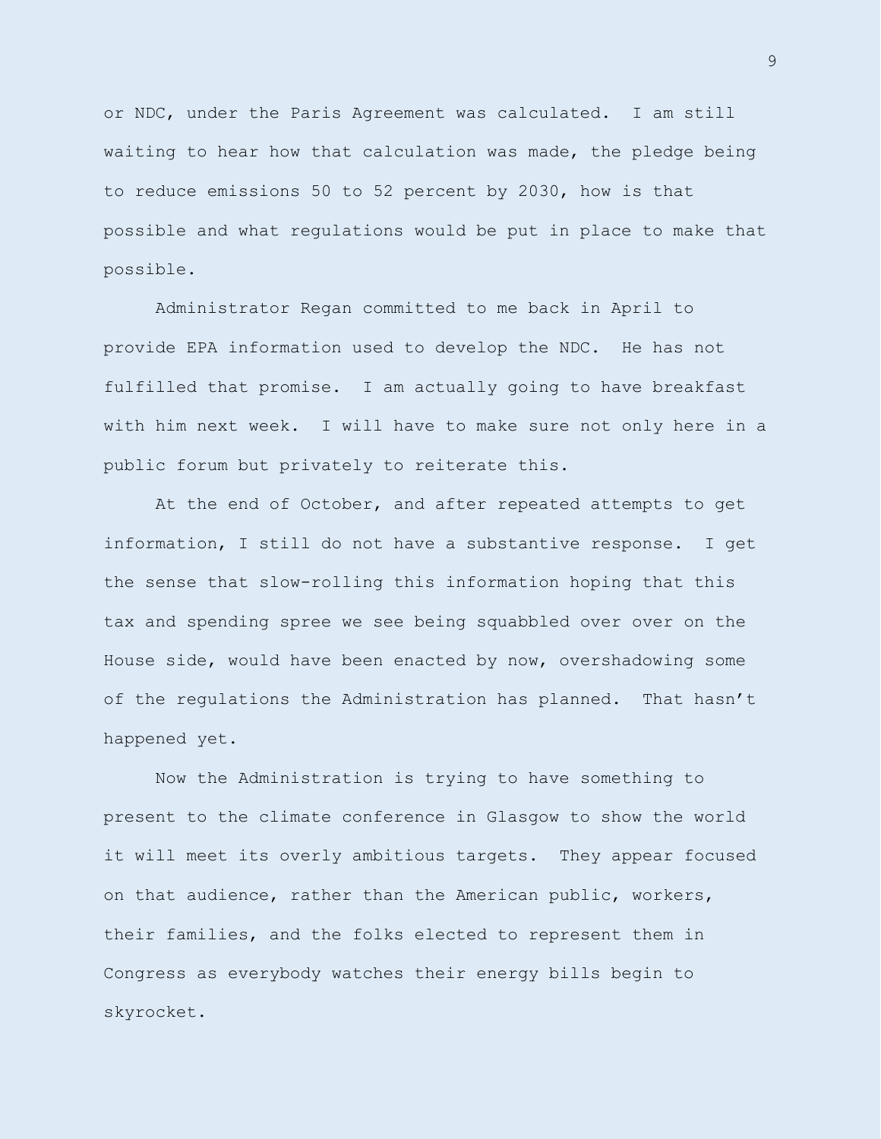or NDC, under the Paris Agreement was calculated. I am still waiting to hear how that calculation was made, the pledge being to reduce emissions 50 to 52 percent by 2030, how is that possible and what regulations would be put in place to make that possible.

Administrator Regan committed to me back in April to provide EPA information used to develop the NDC. He has not fulfilled that promise. I am actually going to have breakfast with him next week. I will have to make sure not only here in a public forum but privately to reiterate this.

At the end of October, and after repeated attempts to get information, I still do not have a substantive response. I get the sense that slow-rolling this information hoping that this tax and spending spree we see being squabbled over over on the House side, would have been enacted by now, overshadowing some of the regulations the Administration has planned. That hasn't happened yet.

Now the Administration is trying to have something to present to the climate conference in Glasgow to show the world it will meet its overly ambitious targets. They appear focused on that audience, rather than the American public, workers, their families, and the folks elected to represent them in Congress as everybody watches their energy bills begin to skyrocket.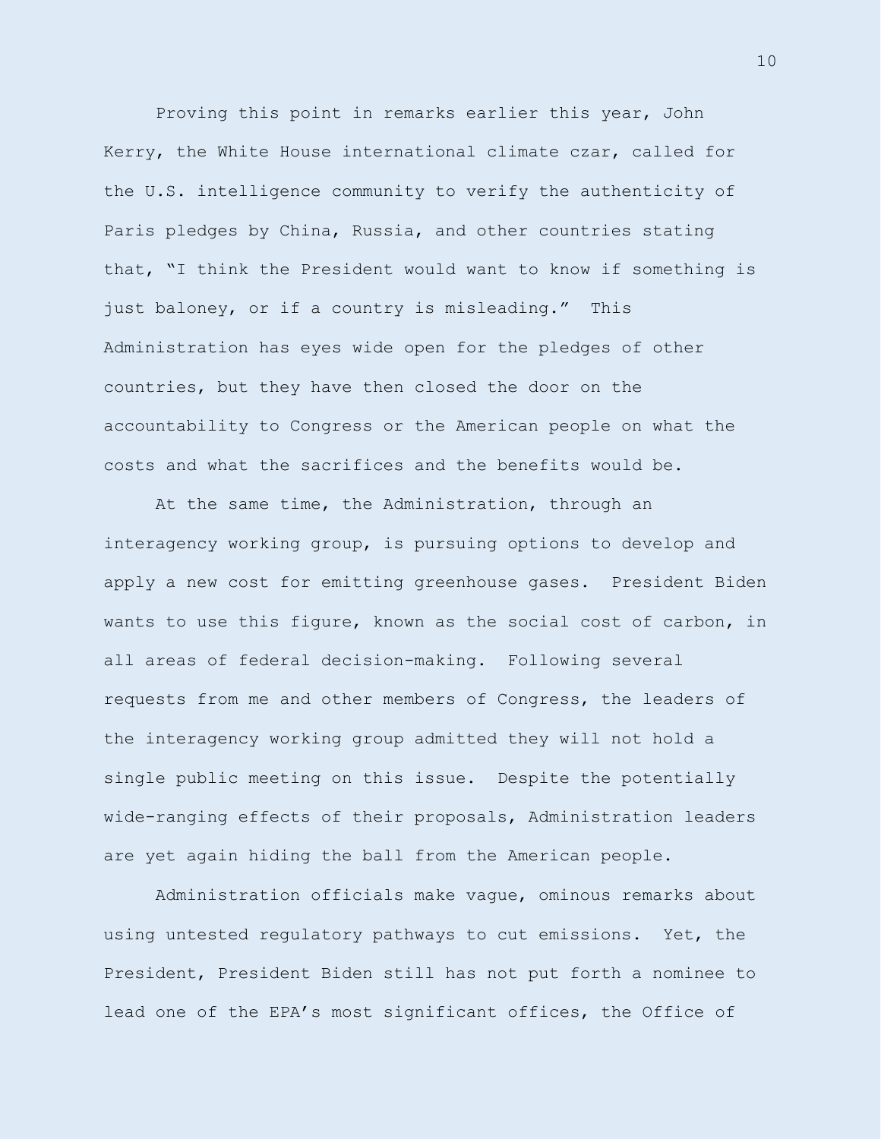Proving this point in remarks earlier this year, John Kerry, the White House international climate czar, called for the U.S. intelligence community to verify the authenticity of Paris pledges by China, Russia, and other countries stating that, "I think the President would want to know if something is just baloney, or if a country is misleading." This Administration has eyes wide open for the pledges of other countries, but they have then closed the door on the accountability to Congress or the American people on what the costs and what the sacrifices and the benefits would be.

At the same time, the Administration, through an interagency working group, is pursuing options to develop and apply a new cost for emitting greenhouse gases. President Biden wants to use this figure, known as the social cost of carbon, in all areas of federal decision-making. Following several requests from me and other members of Congress, the leaders of the interagency working group admitted they will not hold a single public meeting on this issue. Despite the potentially wide-ranging effects of their proposals, Administration leaders are yet again hiding the ball from the American people.

Administration officials make vague, ominous remarks about using untested regulatory pathways to cut emissions. Yet, the President, President Biden still has not put forth a nominee to lead one of the EPA's most significant offices, the Office of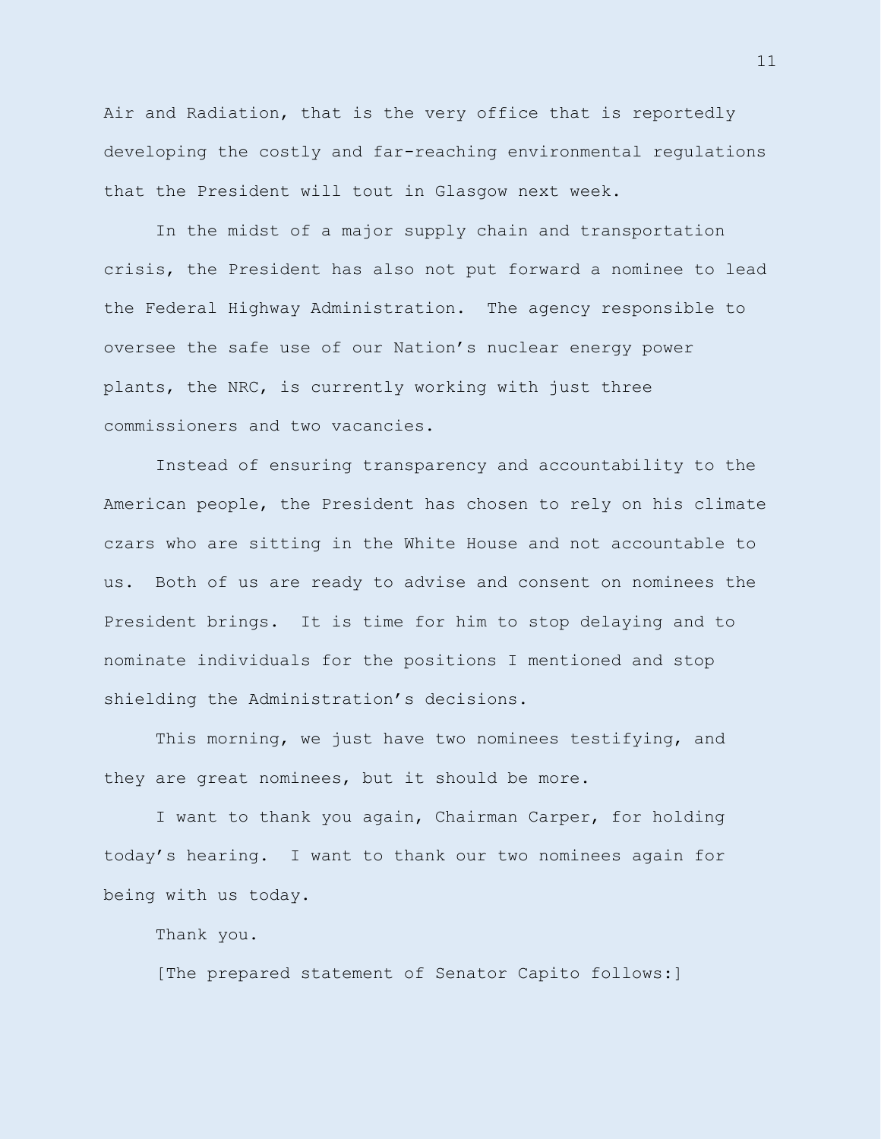Air and Radiation, that is the very office that is reportedly developing the costly and far-reaching environmental regulations that the President will tout in Glasgow next week.

In the midst of a major supply chain and transportation crisis, the President has also not put forward a nominee to lead the Federal Highway Administration. The agency responsible to oversee the safe use of our Nation's nuclear energy power plants, the NRC, is currently working with just three commissioners and two vacancies.

Instead of ensuring transparency and accountability to the American people, the President has chosen to rely on his climate czars who are sitting in the White House and not accountable to us. Both of us are ready to advise and consent on nominees the President brings. It is time for him to stop delaying and to nominate individuals for the positions I mentioned and stop shielding the Administration's decisions.

This morning, we just have two nominees testifying, and they are great nominees, but it should be more.

I want to thank you again, Chairman Carper, for holding today's hearing. I want to thank our two nominees again for being with us today.

Thank you.

[The prepared statement of Senator Capito follows:]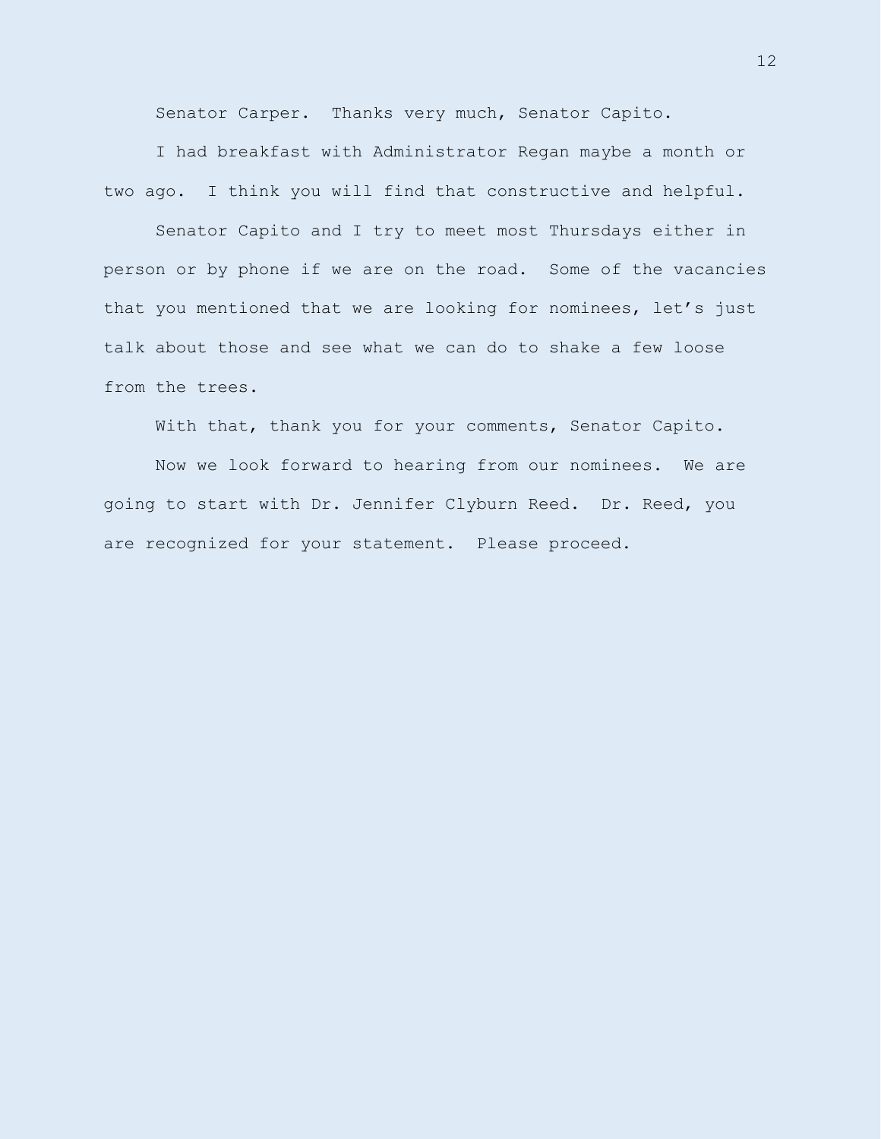Senator Carper. Thanks very much, Senator Capito.

I had breakfast with Administrator Regan maybe a month or two ago. I think you will find that constructive and helpful.

Senator Capito and I try to meet most Thursdays either in person or by phone if we are on the road. Some of the vacancies that you mentioned that we are looking for nominees, let's just talk about those and see what we can do to shake a few loose from the trees.

With that, thank you for your comments, Senator Capito.

Now we look forward to hearing from our nominees. We are going to start with Dr. Jennifer Clyburn Reed. Dr. Reed, you are recognized for your statement. Please proceed.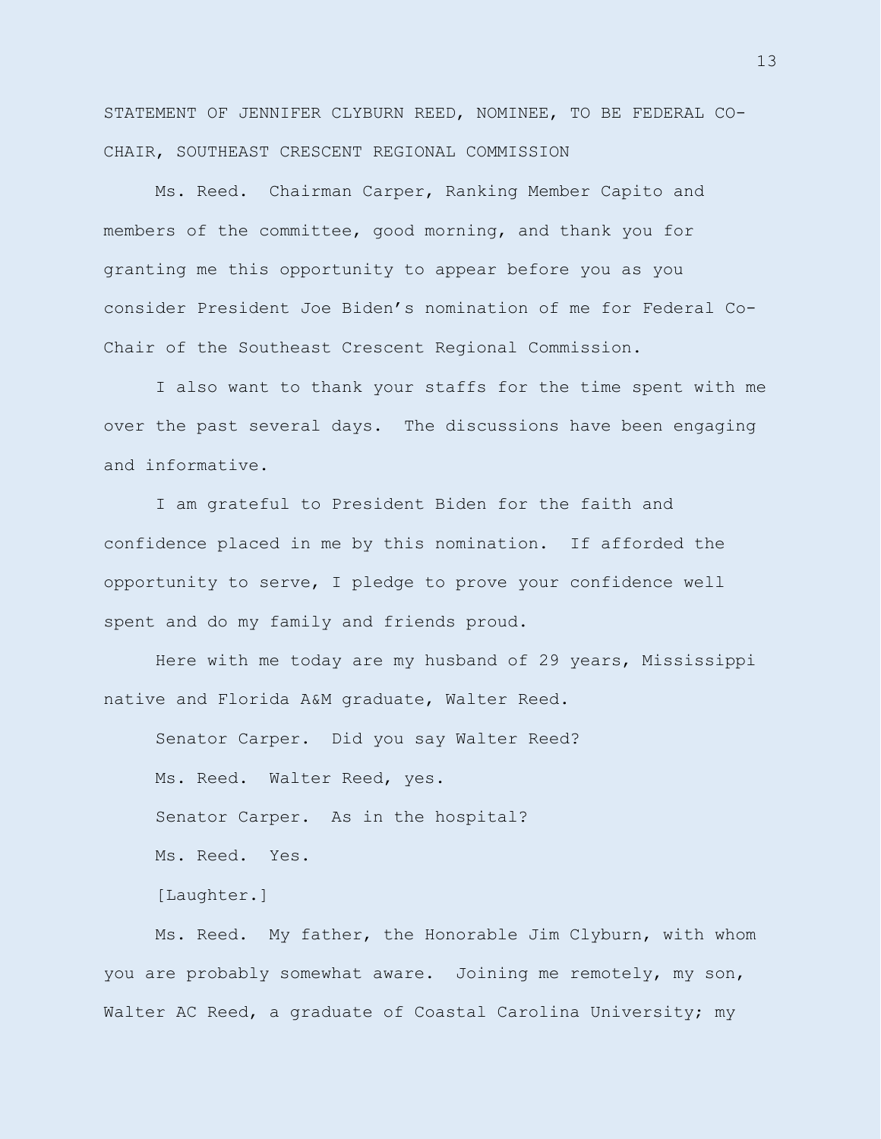STATEMENT OF JENNIFER CLYBURN REED, NOMINEE, TO BE FEDERAL CO-CHAIR, SOUTHEAST CRESCENT REGIONAL COMMISSION

Ms. Reed. Chairman Carper, Ranking Member Capito and members of the committee, good morning, and thank you for granting me this opportunity to appear before you as you consider President Joe Biden's nomination of me for Federal Co-Chair of the Southeast Crescent Regional Commission.

I also want to thank your staffs for the time spent with me over the past several days. The discussions have been engaging and informative.

I am grateful to President Biden for the faith and confidence placed in me by this nomination. If afforded the opportunity to serve, I pledge to prove your confidence well spent and do my family and friends proud.

Here with me today are my husband of 29 years, Mississippi native and Florida A&M graduate, Walter Reed.

Senator Carper. Did you say Walter Reed? Ms. Reed. Walter Reed, yes. Senator Carper. As in the hospital? Ms. Reed. Yes.

[Laughter.]

Ms. Reed. My father, the Honorable Jim Clyburn, with whom you are probably somewhat aware. Joining me remotely, my son, Walter AC Reed, a graduate of Coastal Carolina University; my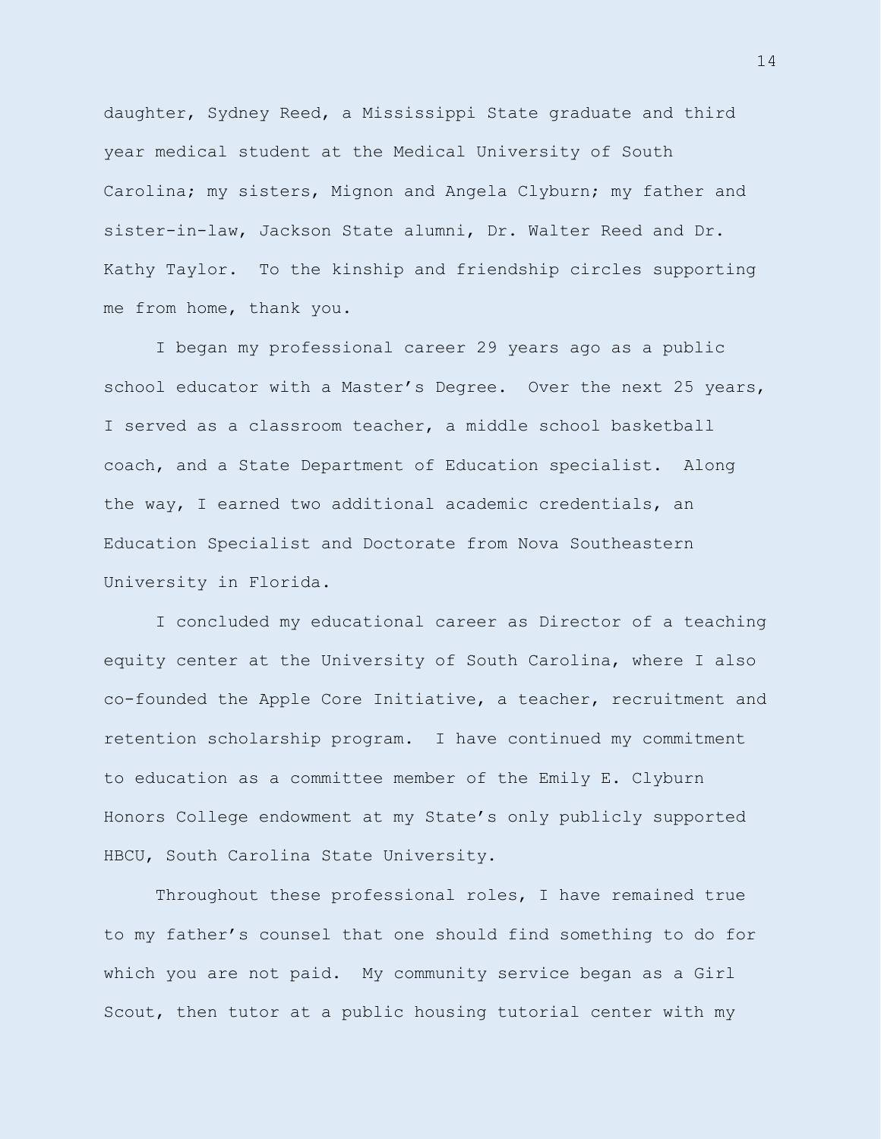daughter, Sydney Reed, a Mississippi State graduate and third year medical student at the Medical University of South Carolina; my sisters, Mignon and Angela Clyburn; my father and sister-in-law, Jackson State alumni, Dr. Walter Reed and Dr. Kathy Taylor. To the kinship and friendship circles supporting me from home, thank you.

I began my professional career 29 years ago as a public school educator with a Master's Degree. Over the next 25 years, I served as a classroom teacher, a middle school basketball coach, and a State Department of Education specialist. Along the way, I earned two additional academic credentials, an Education Specialist and Doctorate from Nova Southeastern University in Florida.

I concluded my educational career as Director of a teaching equity center at the University of South Carolina, where I also co-founded the Apple Core Initiative, a teacher, recruitment and retention scholarship program. I have continued my commitment to education as a committee member of the Emily E. Clyburn Honors College endowment at my State's only publicly supported HBCU, South Carolina State University.

Throughout these professional roles, I have remained true to my father's counsel that one should find something to do for which you are not paid. My community service began as a Girl Scout, then tutor at a public housing tutorial center with my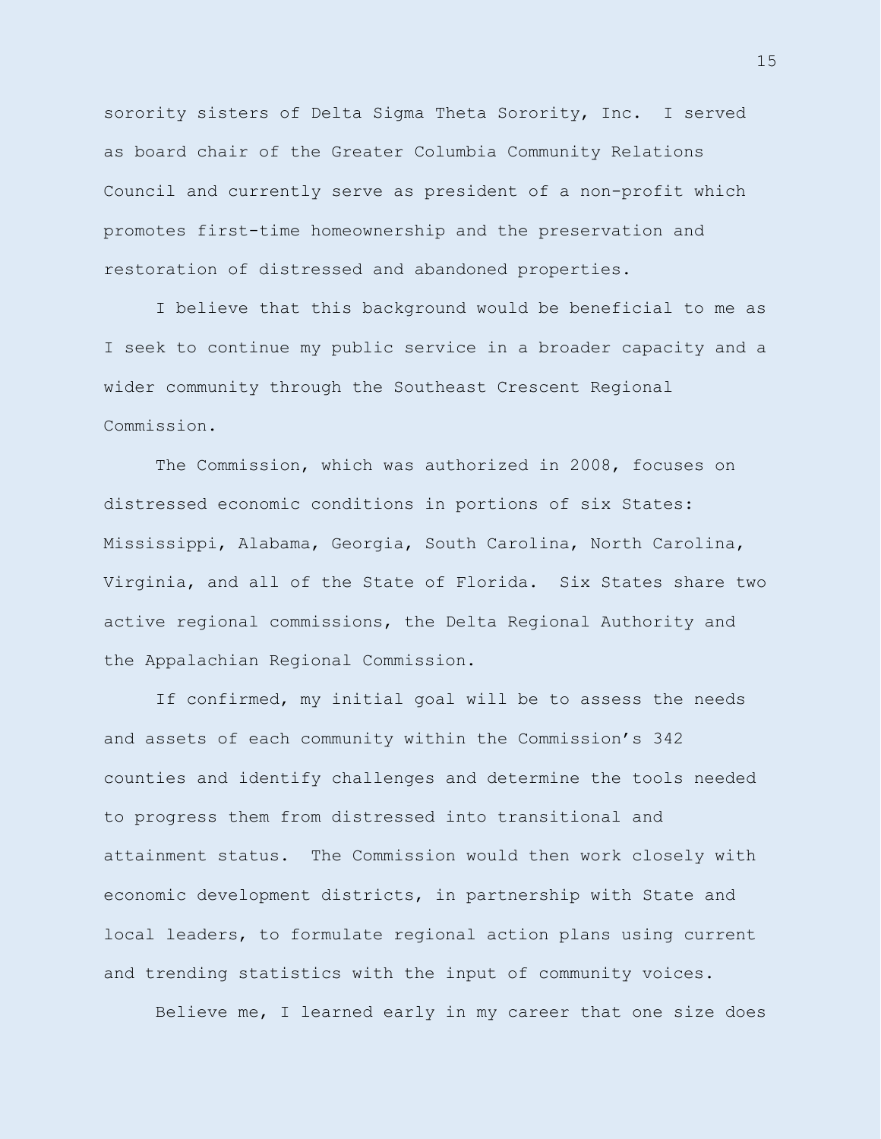sorority sisters of Delta Sigma Theta Sorority, Inc. I served as board chair of the Greater Columbia Community Relations Council and currently serve as president of a non-profit which promotes first-time homeownership and the preservation and restoration of distressed and abandoned properties.

I believe that this background would be beneficial to me as I seek to continue my public service in a broader capacity and a wider community through the Southeast Crescent Regional Commission.

The Commission, which was authorized in 2008, focuses on distressed economic conditions in portions of six States: Mississippi, Alabama, Georgia, South Carolina, North Carolina, Virginia, and all of the State of Florida. Six States share two active regional commissions, the Delta Regional Authority and the Appalachian Regional Commission.

If confirmed, my initial goal will be to assess the needs and assets of each community within the Commission's 342 counties and identify challenges and determine the tools needed to progress them from distressed into transitional and attainment status. The Commission would then work closely with economic development districts, in partnership with State and local leaders, to formulate regional action plans using current and trending statistics with the input of community voices.

Believe me, I learned early in my career that one size does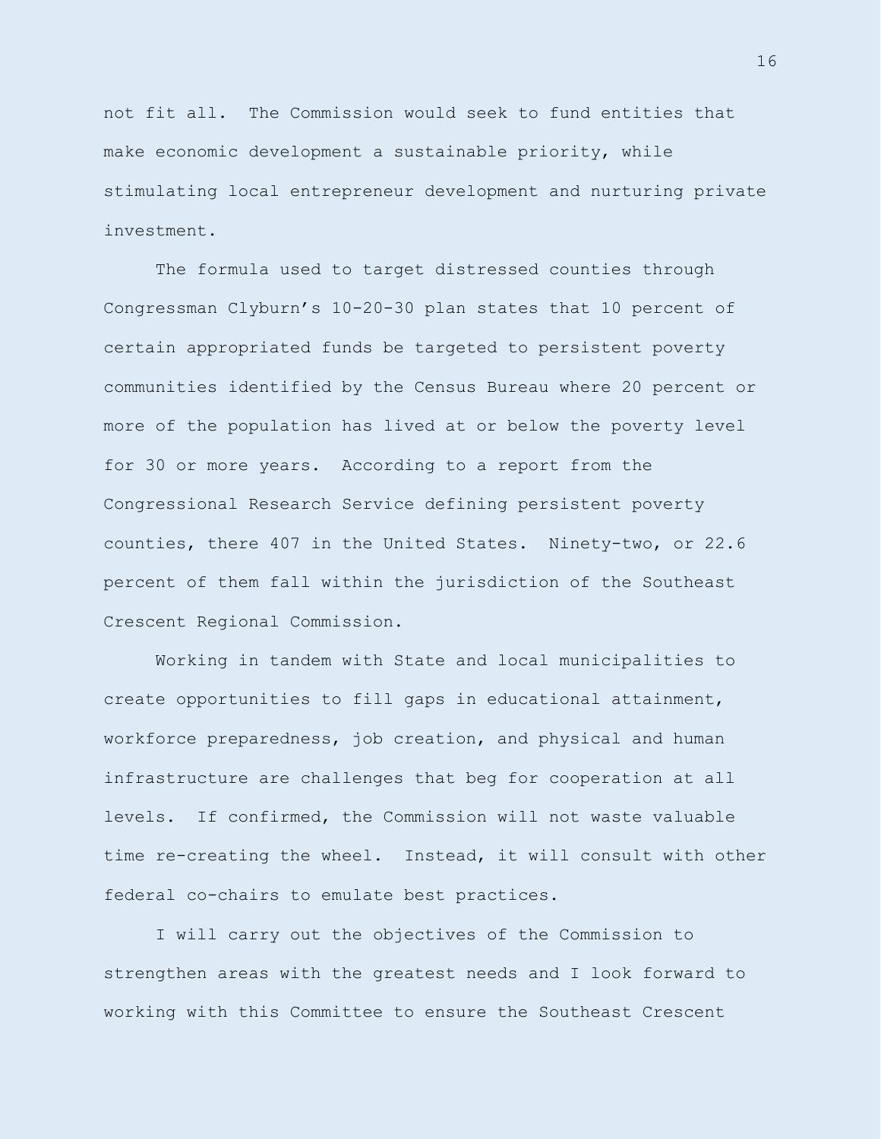not fit all. The Commission would seek to fund entities that make economic development a sustainable priority, while stimulating local entrepreneur development and nurturing private investment.

The formula used to target distressed counties through Congressman Clyburn's 10-20-30 plan states that 10 percent of certain appropriated funds be targeted to persistent poverty communities identified by the Census Bureau where 20 percent or more of the population has lived at or below the poverty level for 30 or more years. According to a report from the Congressional Research Service defining persistent poverty counties, there 407 in the United States. Ninety-two, or 22.6 percent of them fall within the jurisdiction of the Southeast Crescent Regional Commission.

Working in tandem with State and local municipalities to create opportunities to fill gaps in educational attainment, workforce preparedness, job creation, and physical and human infrastructure are challenges that beg for cooperation at all levels. If confirmed, the Commission will not waste valuable time re-creating the wheel. Instead, it will consult with other federal co-chairs to emulate best practices.

I will carry out the objectives of the Commission to strengthen areas with the greatest needs and I look forward to working with this Committee to ensure the Southeast Crescent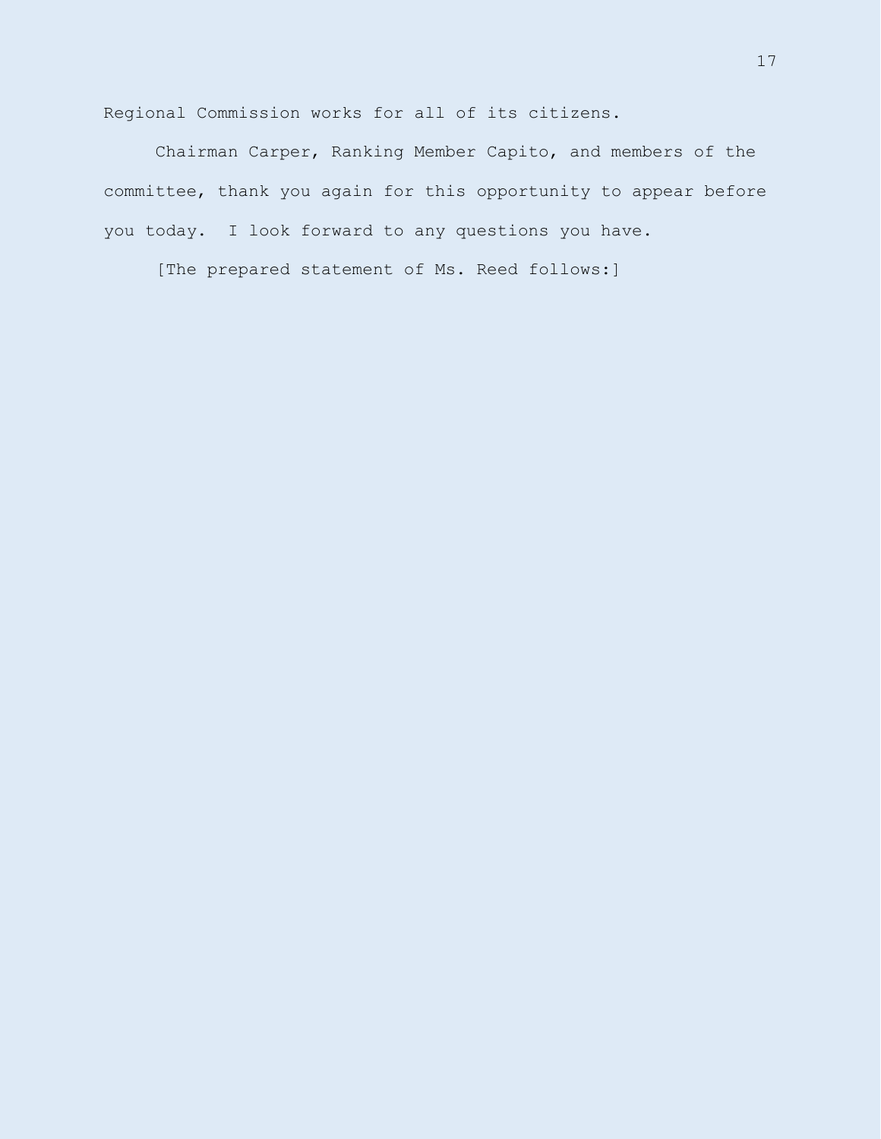Regional Commission works for all of its citizens.

Chairman Carper, Ranking Member Capito, and members of the committee, thank you again for this opportunity to appear before you today. I look forward to any questions you have.

[The prepared statement of Ms. Reed follows:]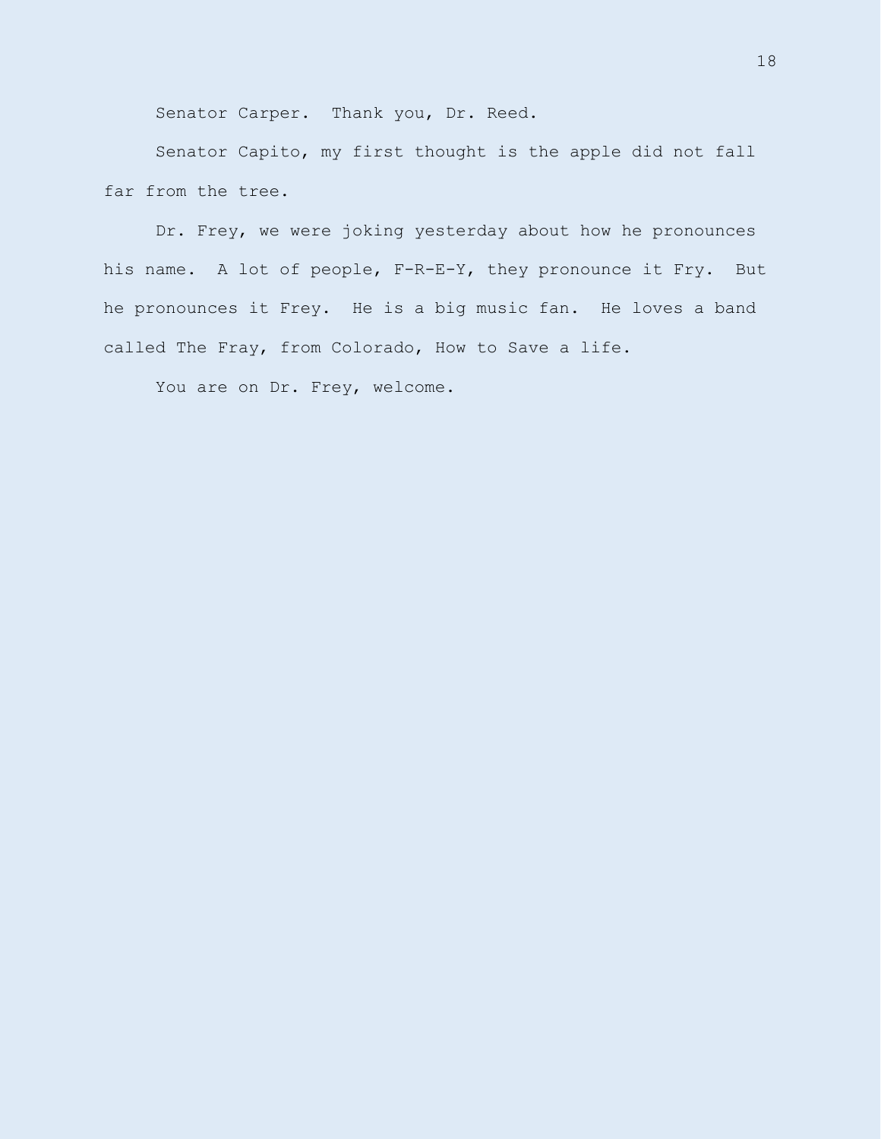Senator Carper. Thank you, Dr. Reed.

Senator Capito, my first thought is the apple did not fall far from the tree.

Dr. Frey, we were joking yesterday about how he pronounces his name. A lot of people, F-R-E-Y, they pronounce it Fry. But he pronounces it Frey. He is a big music fan. He loves a band called The Fray, from Colorado, How to Save a life.

You are on Dr. Frey, welcome.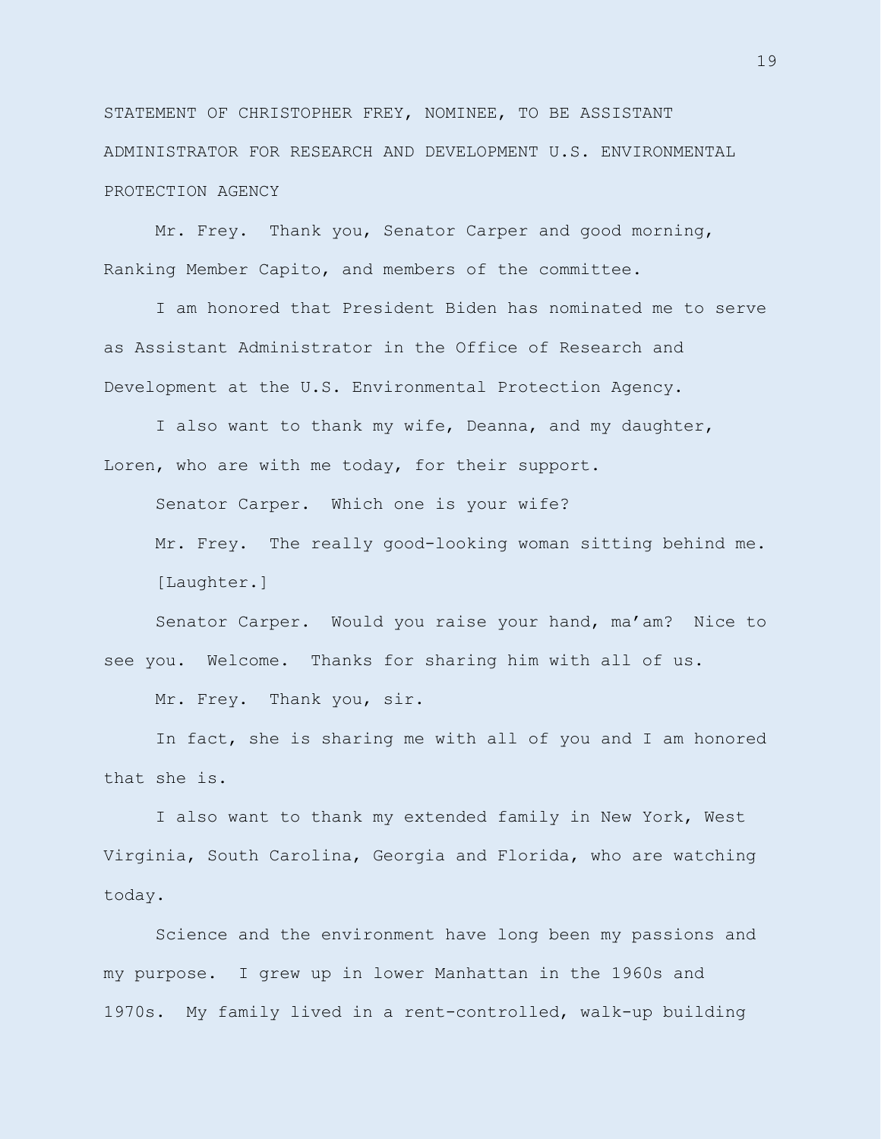STATEMENT OF CHRISTOPHER FREY, NOMINEE, TO BE ASSISTANT ADMINISTRATOR FOR RESEARCH AND DEVELOPMENT U.S. ENVIRONMENTAL PROTECTION AGENCY

Mr. Frey. Thank you, Senator Carper and good morning, Ranking Member Capito, and members of the committee.

I am honored that President Biden has nominated me to serve as Assistant Administrator in the Office of Research and Development at the U.S. Environmental Protection Agency.

I also want to thank my wife, Deanna, and my daughter, Loren, who are with me today, for their support.

Senator Carper. Which one is your wife?

Mr. Frey. The really good-looking woman sitting behind me. [Laughter.]

Senator Carper. Would you raise your hand, ma'am? Nice to see you. Welcome. Thanks for sharing him with all of us.

Mr. Frey. Thank you, sir.

In fact, she is sharing me with all of you and I am honored that she is.

I also want to thank my extended family in New York, West Virginia, South Carolina, Georgia and Florida, who are watching today.

Science and the environment have long been my passions and my purpose. I grew up in lower Manhattan in the 1960s and 1970s. My family lived in a rent-controlled, walk-up building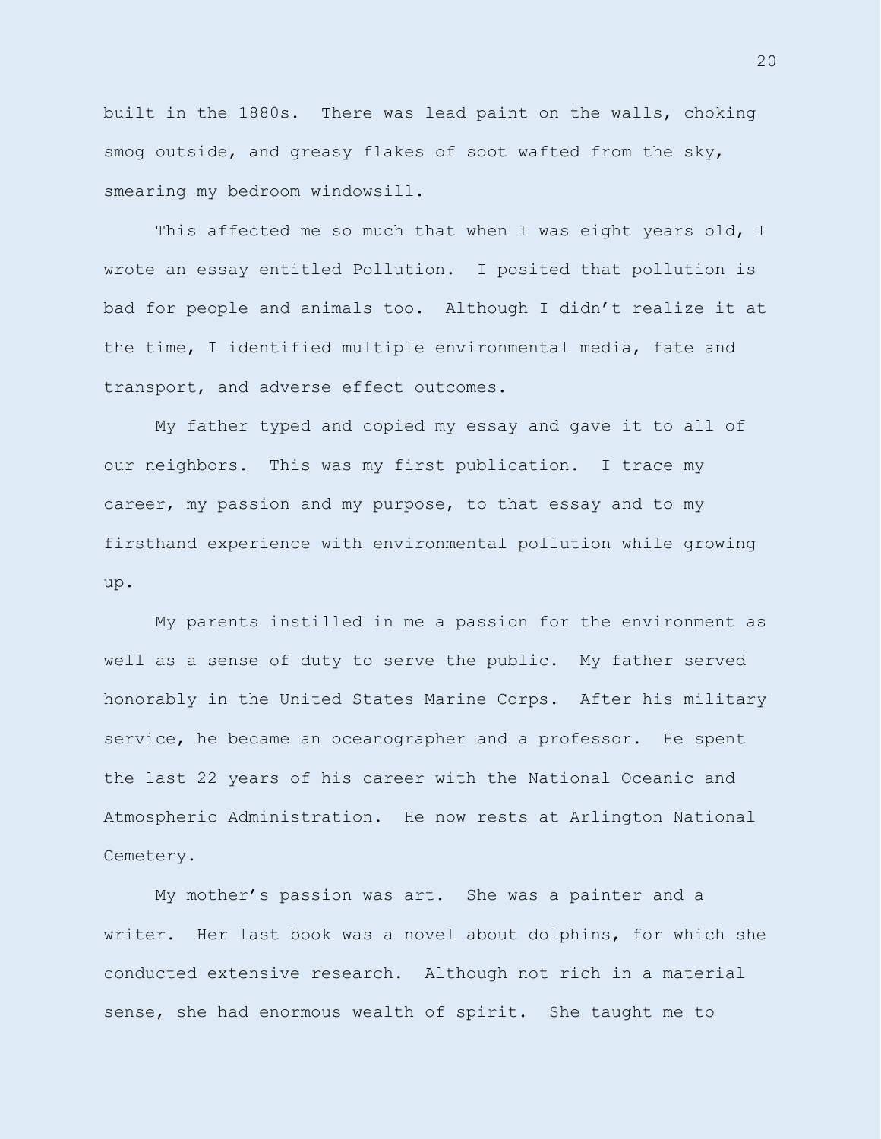built in the 1880s. There was lead paint on the walls, choking smog outside, and greasy flakes of soot wafted from the sky, smearing my bedroom windowsill.

This affected me so much that when I was eight years old, I wrote an essay entitled Pollution. I posited that pollution is bad for people and animals too. Although I didn't realize it at the time, I identified multiple environmental media, fate and transport, and adverse effect outcomes.

My father typed and copied my essay and gave it to all of our neighbors. This was my first publication. I trace my career, my passion and my purpose, to that essay and to my firsthand experience with environmental pollution while growing up.

My parents instilled in me a passion for the environment as well as a sense of duty to serve the public. My father served honorably in the United States Marine Corps. After his military service, he became an oceanographer and a professor. He spent the last 22 years of his career with the National Oceanic and Atmospheric Administration. He now rests at Arlington National Cemetery.

My mother's passion was art. She was a painter and a writer. Her last book was a novel about dolphins, for which she conducted extensive research. Although not rich in a material sense, she had enormous wealth of spirit. She taught me to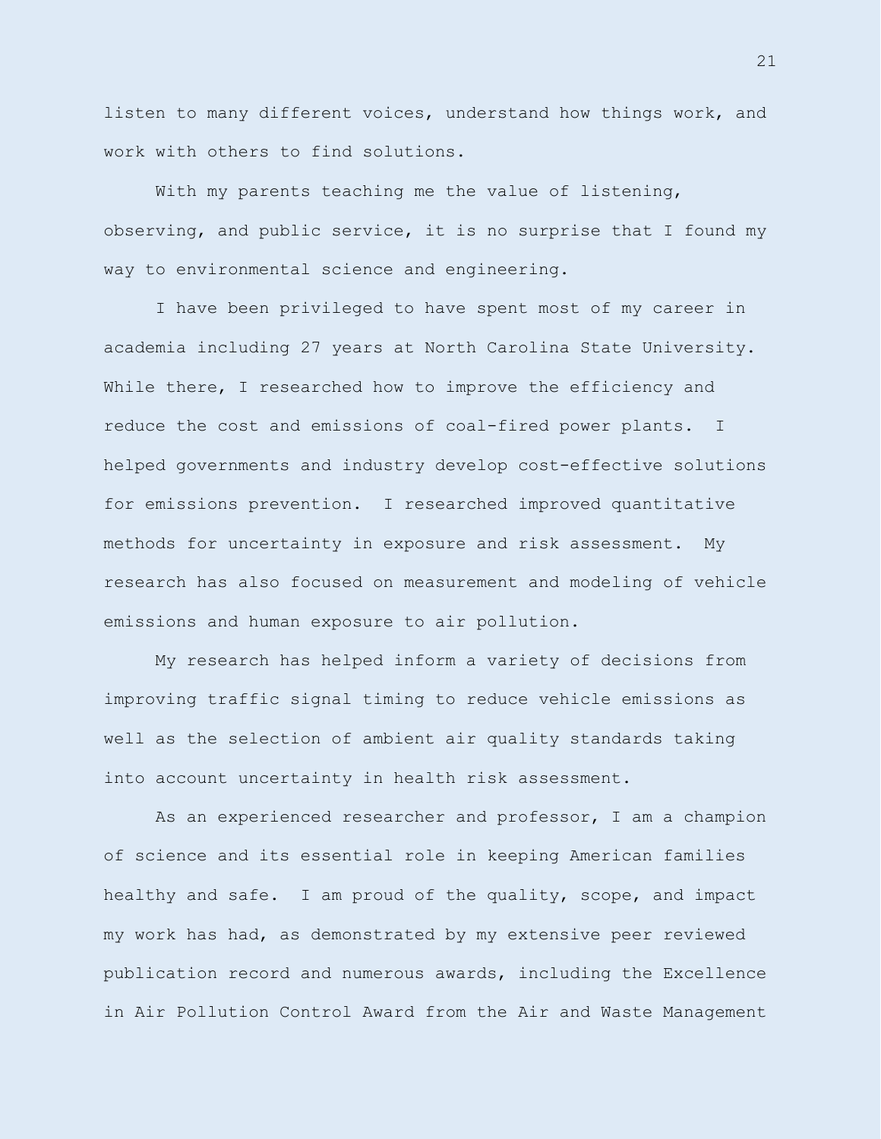listen to many different voices, understand how things work, and work with others to find solutions.

With my parents teaching me the value of listening, observing, and public service, it is no surprise that I found my way to environmental science and engineering.

I have been privileged to have spent most of my career in academia including 27 years at North Carolina State University. While there, I researched how to improve the efficiency and reduce the cost and emissions of coal-fired power plants. I helped governments and industry develop cost-effective solutions for emissions prevention. I researched improved quantitative methods for uncertainty in exposure and risk assessment. My research has also focused on measurement and modeling of vehicle emissions and human exposure to air pollution.

My research has helped inform a variety of decisions from improving traffic signal timing to reduce vehicle emissions as well as the selection of ambient air quality standards taking into account uncertainty in health risk assessment.

As an experienced researcher and professor, I am a champion of science and its essential role in keeping American families healthy and safe. I am proud of the quality, scope, and impact my work has had, as demonstrated by my extensive peer reviewed publication record and numerous awards, including the Excellence in Air Pollution Control Award from the Air and Waste Management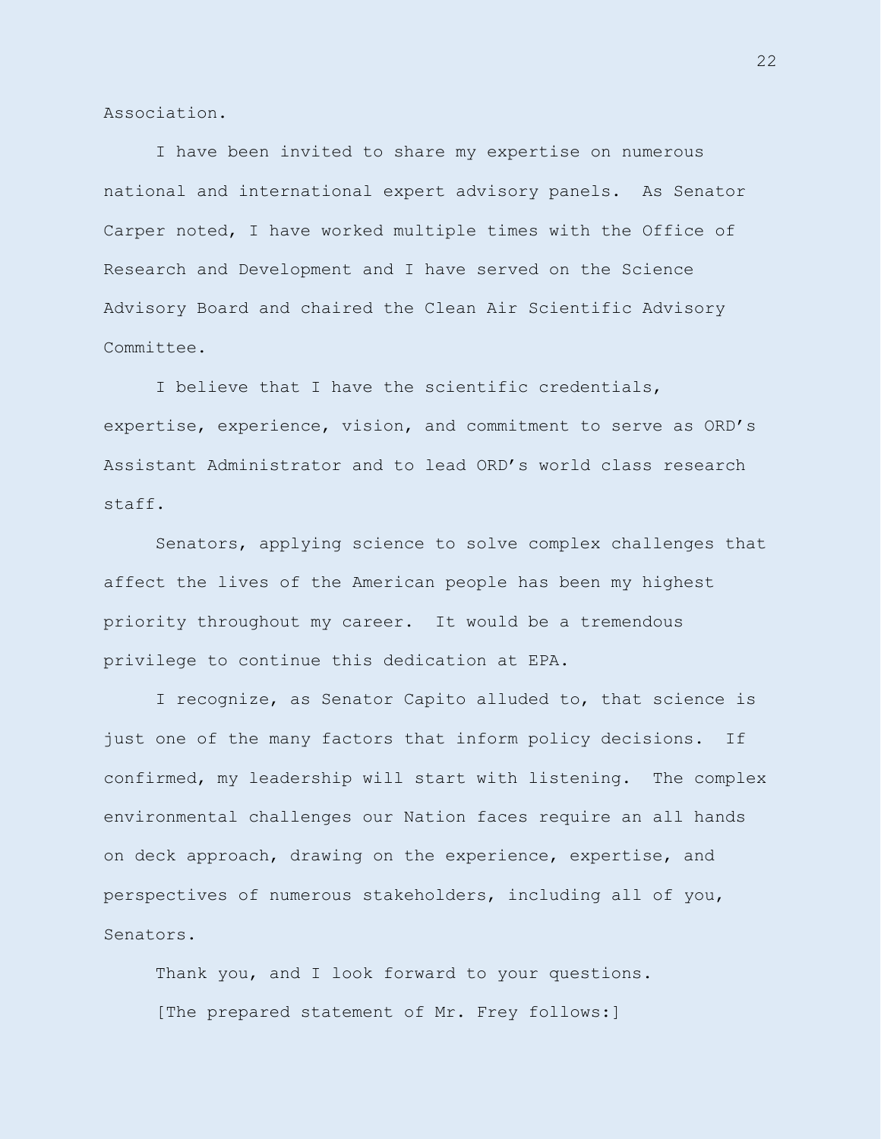Association.

I have been invited to share my expertise on numerous national and international expert advisory panels. As Senator Carper noted, I have worked multiple times with the Office of Research and Development and I have served on the Science Advisory Board and chaired the Clean Air Scientific Advisory Committee.

I believe that I have the scientific credentials, expertise, experience, vision, and commitment to serve as ORD's Assistant Administrator and to lead ORD's world class research staff.

Senators, applying science to solve complex challenges that affect the lives of the American people has been my highest priority throughout my career. It would be a tremendous privilege to continue this dedication at EPA.

I recognize, as Senator Capito alluded to, that science is just one of the many factors that inform policy decisions. If confirmed, my leadership will start with listening. The complex environmental challenges our Nation faces require an all hands on deck approach, drawing on the experience, expertise, and perspectives of numerous stakeholders, including all of you, Senators.

Thank you, and I look forward to your questions. [The prepared statement of Mr. Frey follows:]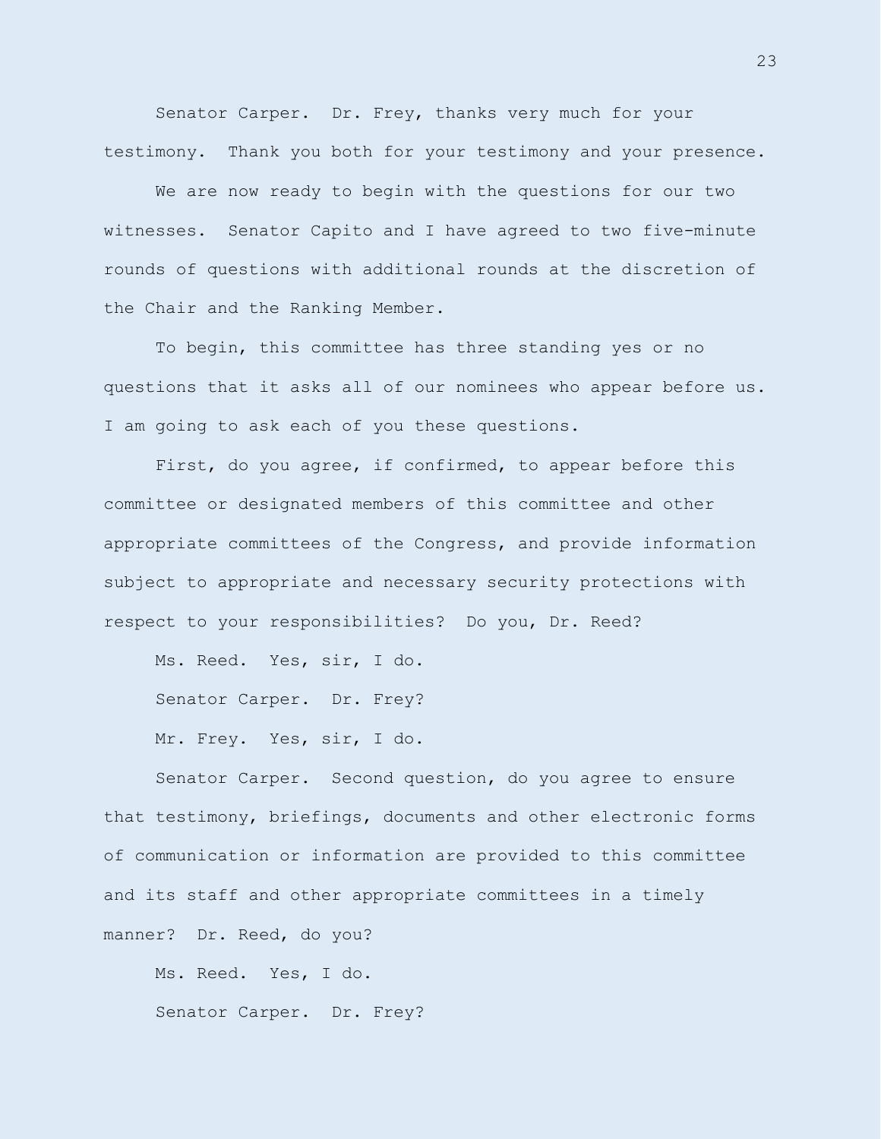Senator Carper. Dr. Frey, thanks very much for your testimony. Thank you both for your testimony and your presence.

We are now ready to begin with the questions for our two witnesses. Senator Capito and I have agreed to two five-minute rounds of questions with additional rounds at the discretion of the Chair and the Ranking Member.

To begin, this committee has three standing yes or no questions that it asks all of our nominees who appear before us. I am going to ask each of you these questions.

First, do you agree, if confirmed, to appear before this committee or designated members of this committee and other appropriate committees of the Congress, and provide information subject to appropriate and necessary security protections with respect to your responsibilities? Do you, Dr. Reed?

Ms. Reed. Yes, sir, I do.

Senator Carper. Dr. Frey?

Mr. Frey. Yes, sir, I do.

Senator Carper. Second question, do you agree to ensure that testimony, briefings, documents and other electronic forms of communication or information are provided to this committee and its staff and other appropriate committees in a timely manner? Dr. Reed, do you?

Ms. Reed. Yes, I do. Senator Carper. Dr. Frey?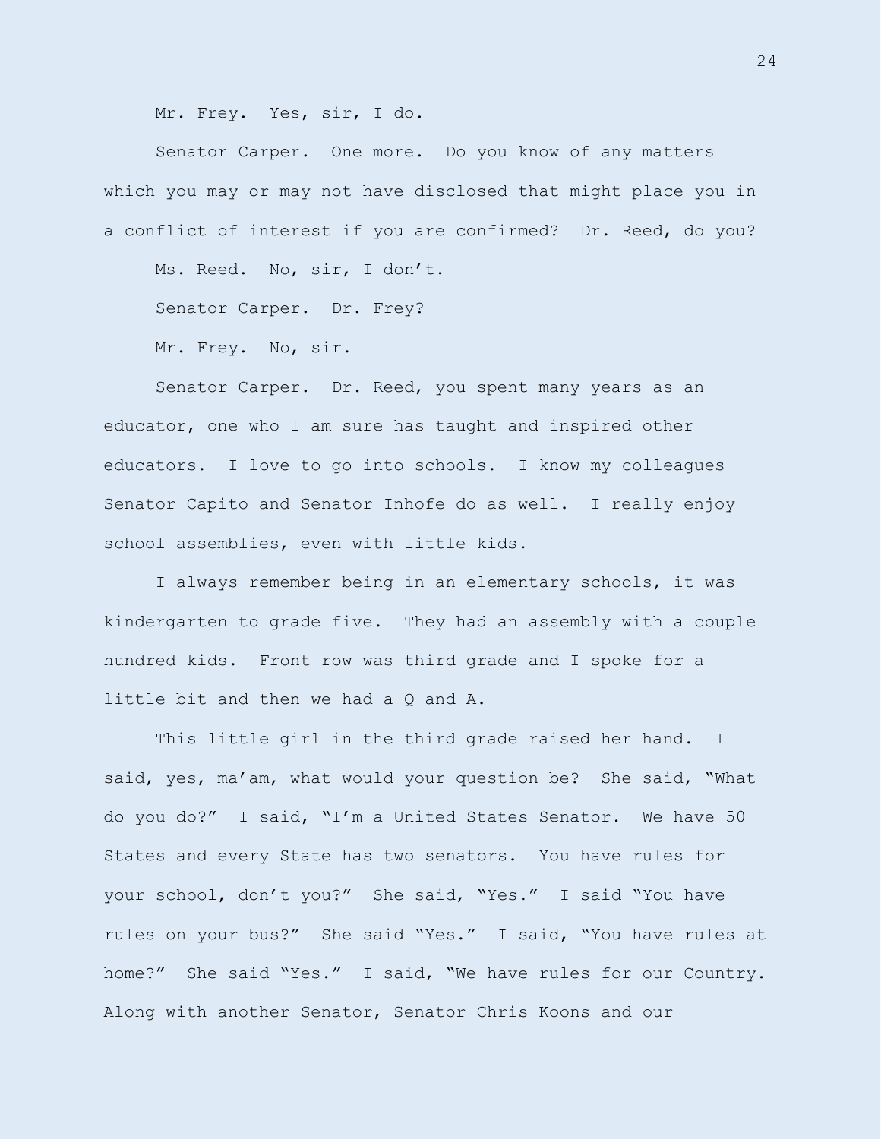Mr. Frey. Yes, sir, I do.

Senator Carper. One more. Do you know of any matters which you may or may not have disclosed that might place you in a conflict of interest if you are confirmed? Dr. Reed, do you?

Ms. Reed. No, sir, I don't.

Senator Carper. Dr. Frey?

Mr. Frey. No, sir.

Senator Carper. Dr. Reed, you spent many years as an educator, one who I am sure has taught and inspired other educators. I love to go into schools. I know my colleagues Senator Capito and Senator Inhofe do as well. I really enjoy school assemblies, even with little kids.

I always remember being in an elementary schools, it was kindergarten to grade five. They had an assembly with a couple hundred kids. Front row was third grade and I spoke for a little bit and then we had a Q and A.

This little girl in the third grade raised her hand. I said, yes, ma'am, what would your question be? She said, "What do you do?" I said, "I'm a United States Senator. We have 50 States and every State has two senators. You have rules for your school, don't you?" She said, "Yes." I said "You have rules on your bus?" She said "Yes." I said, "You have rules at home?" She said "Yes." I said, "We have rules for our Country. Along with another Senator, Senator Chris Koons and our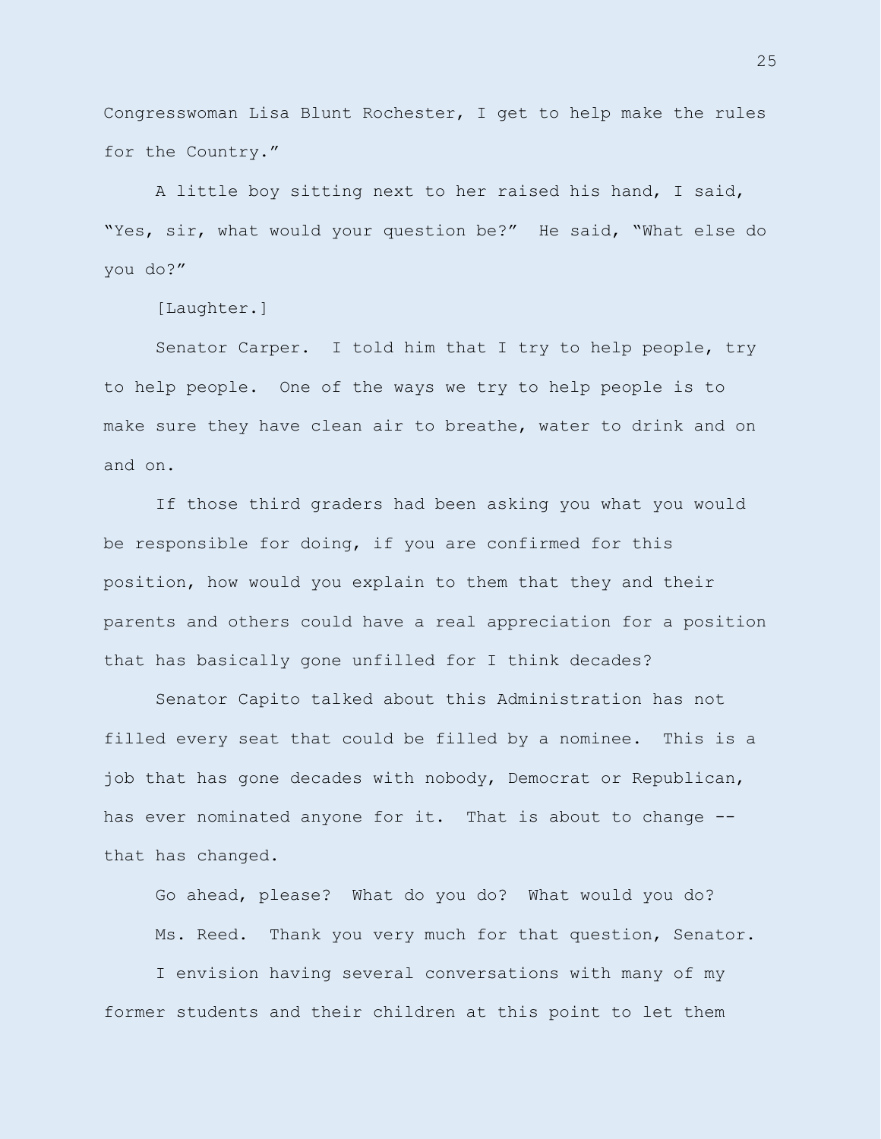Congresswoman Lisa Blunt Rochester, I get to help make the rules for the Country."

A little boy sitting next to her raised his hand, I said, "Yes, sir, what would your question be?" He said, "What else do you do?"

[Laughter.]

Senator Carper. I told him that I try to help people, try to help people. One of the ways we try to help people is to make sure they have clean air to breathe, water to drink and on and on.

If those third graders had been asking you what you would be responsible for doing, if you are confirmed for this position, how would you explain to them that they and their parents and others could have a real appreciation for a position that has basically gone unfilled for I think decades?

Senator Capito talked about this Administration has not filled every seat that could be filled by a nominee. This is a job that has gone decades with nobody, Democrat or Republican, has ever nominated anyone for it. That is about to change - that has changed.

Go ahead, please? What do you do? What would you do? Ms. Reed. Thank you very much for that question, Senator.

I envision having several conversations with many of my former students and their children at this point to let them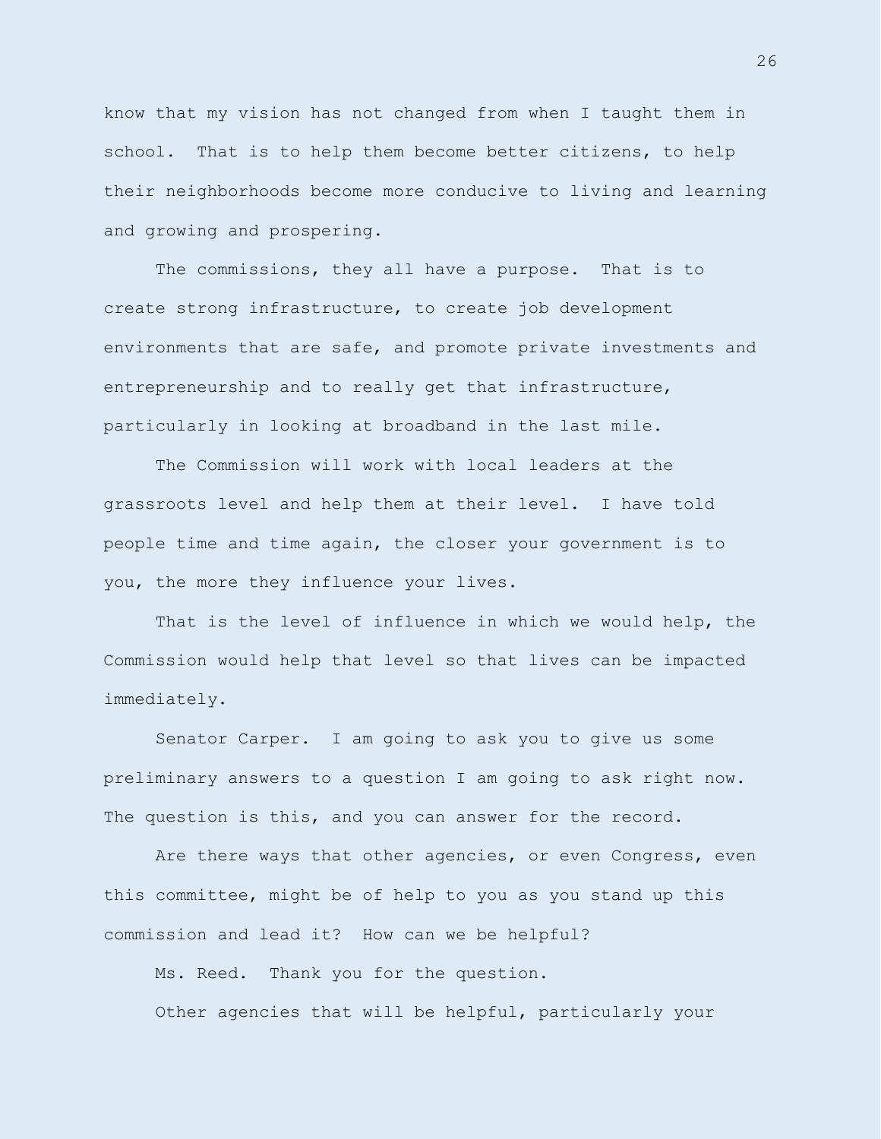know that my vision has not changed from when I taught them in school. That is to help them become better citizens, to help their neighborhoods become more conducive to living and learning and growing and prospering.

The commissions, they all have a purpose. That is to create strong infrastructure, to create job development environments that are safe, and promote private investments and entrepreneurship and to really get that infrastructure, particularly in looking at broadband in the last mile.

The Commission will work with local leaders at the grassroots level and help them at their level. I have told people time and time again, the closer your government is to you, the more they influence your lives.

That is the level of influence in which we would help, the Commission would help that level so that lives can be impacted immediately.

Senator Carper. I am going to ask you to give us some preliminary answers to a question I am going to ask right now. The question is this, and you can answer for the record.

Are there ways that other agencies, or even Congress, even this committee, might be of help to you as you stand up this commission and lead it? How can we be helpful?

Ms. Reed. Thank you for the question. Other agencies that will be helpful, particularly your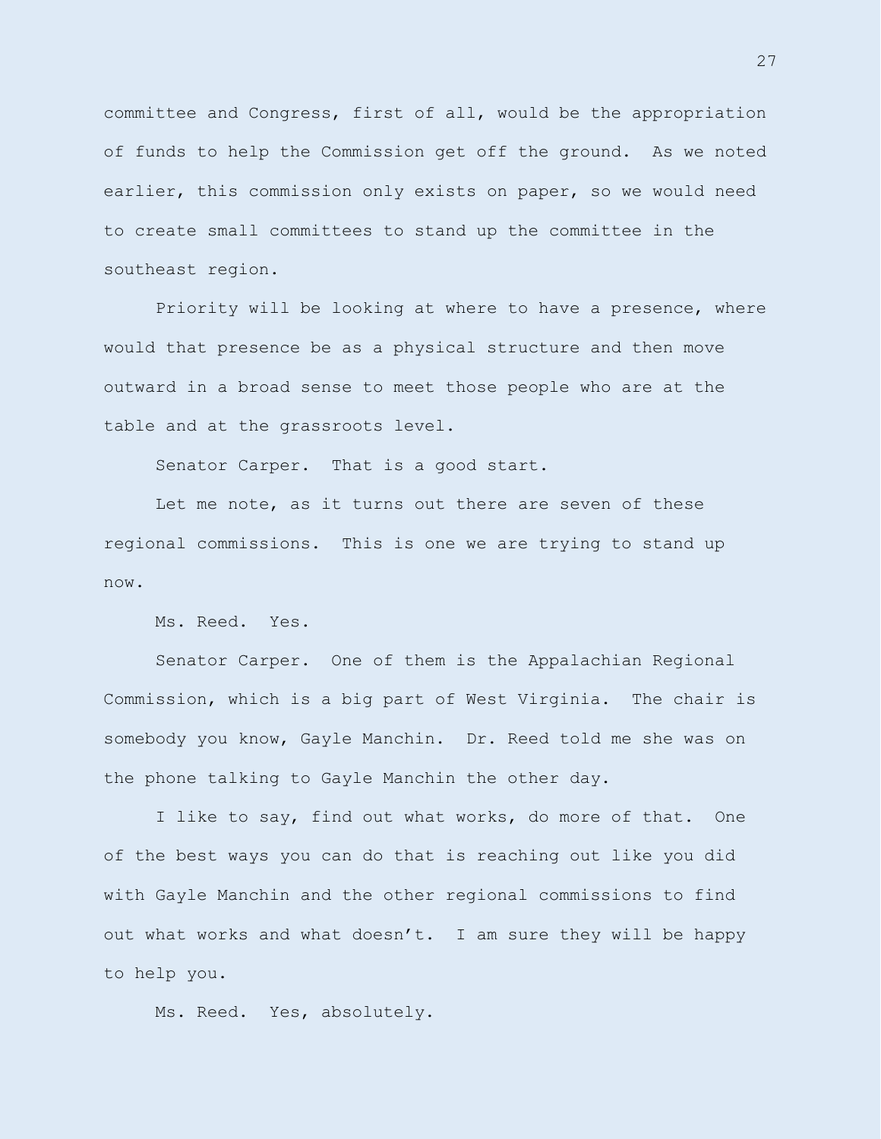committee and Congress, first of all, would be the appropriation of funds to help the Commission get off the ground. As we noted earlier, this commission only exists on paper, so we would need to create small committees to stand up the committee in the southeast region.

Priority will be looking at where to have a presence, where would that presence be as a physical structure and then move outward in a broad sense to meet those people who are at the table and at the grassroots level.

Senator Carper. That is a good start.

Let me note, as it turns out there are seven of these regional commissions. This is one we are trying to stand up now.

Ms. Reed. Yes.

Senator Carper. One of them is the Appalachian Regional Commission, which is a big part of West Virginia. The chair is somebody you know, Gayle Manchin. Dr. Reed told me she was on the phone talking to Gayle Manchin the other day.

I like to say, find out what works, do more of that. One of the best ways you can do that is reaching out like you did with Gayle Manchin and the other regional commissions to find out what works and what doesn't. I am sure they will be happy to help you.

Ms. Reed. Yes, absolutely.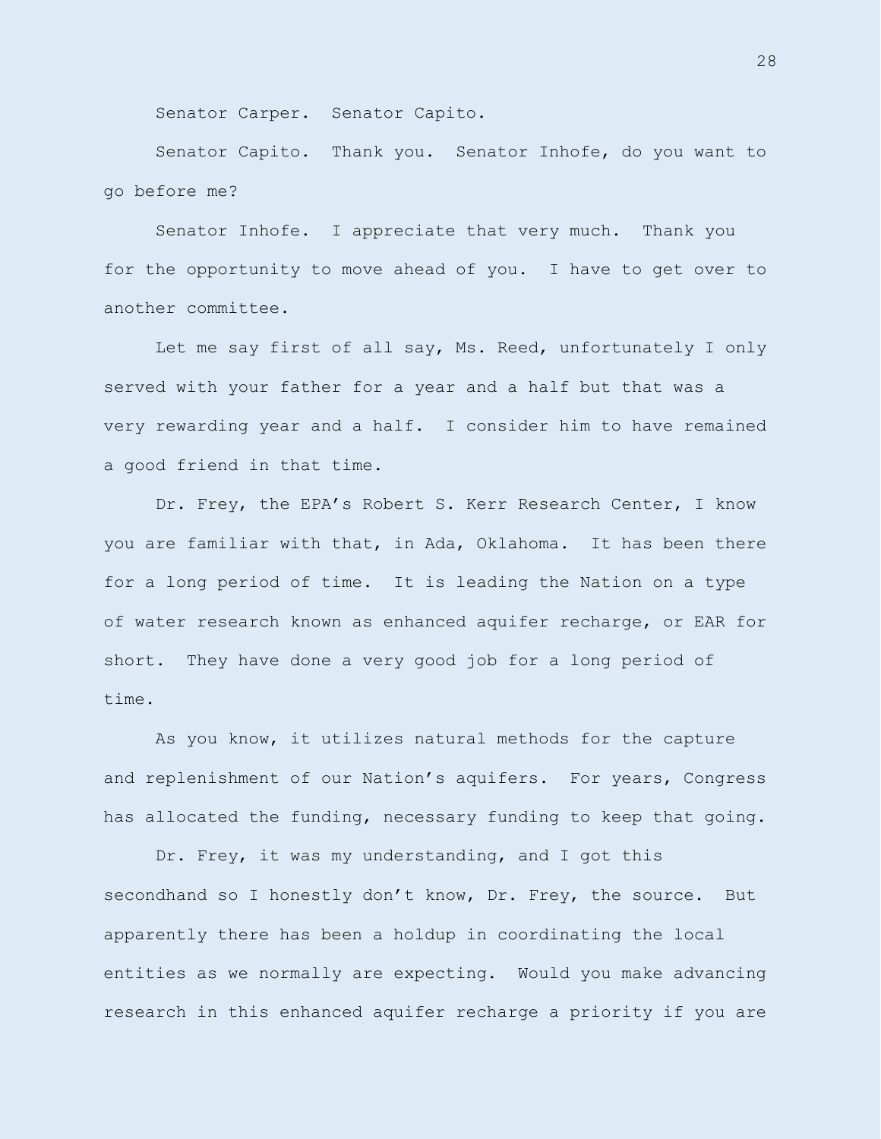Senator Carper. Senator Capito.

Senator Capito. Thank you. Senator Inhofe, do you want to go before me?

Senator Inhofe. I appreciate that very much. Thank you for the opportunity to move ahead of you. I have to get over to another committee.

Let me say first of all say, Ms. Reed, unfortunately I only served with your father for a year and a half but that was a very rewarding year and a half. I consider him to have remained a good friend in that time.

Dr. Frey, the EPA's Robert S. Kerr Research Center, I know you are familiar with that, in Ada, Oklahoma. It has been there for a long period of time. It is leading the Nation on a type of water research known as enhanced aquifer recharge, or EAR for short. They have done a very good job for a long period of time.

As you know, it utilizes natural methods for the capture and replenishment of our Nation's aquifers. For years, Congress has allocated the funding, necessary funding to keep that going.

Dr. Frey, it was my understanding, and I got this secondhand so I honestly don't know, Dr. Frey, the source. But apparently there has been a holdup in coordinating the local entities as we normally are expecting. Would you make advancing research in this enhanced aquifer recharge a priority if you are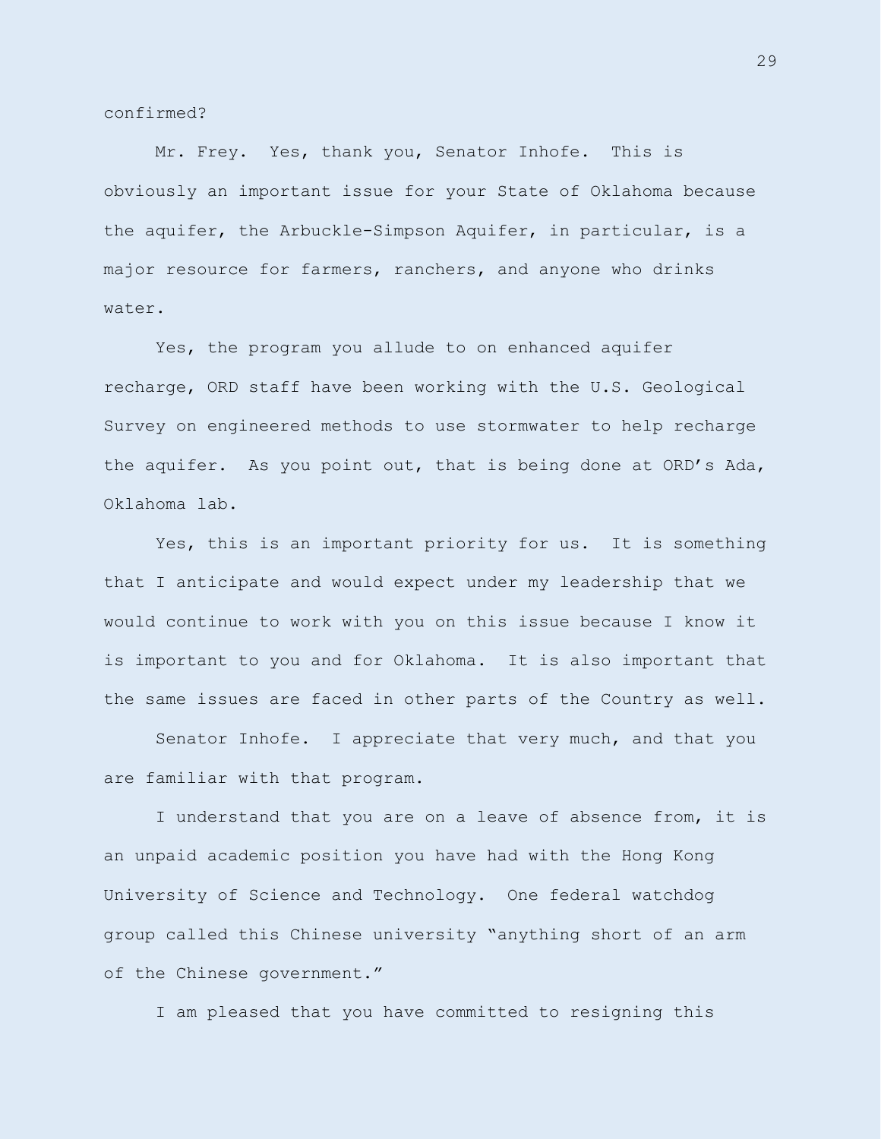confirmed?

Mr. Frey. Yes, thank you, Senator Inhofe. This is obviously an important issue for your State of Oklahoma because the aquifer, the Arbuckle-Simpson Aquifer, in particular, is a major resource for farmers, ranchers, and anyone who drinks water.

Yes, the program you allude to on enhanced aquifer recharge, ORD staff have been working with the U.S. Geological Survey on engineered methods to use stormwater to help recharge the aquifer. As you point out, that is being done at ORD's Ada, Oklahoma lab.

Yes, this is an important priority for us. It is something that I anticipate and would expect under my leadership that we would continue to work with you on this issue because I know it is important to you and for Oklahoma. It is also important that the same issues are faced in other parts of the Country as well.

Senator Inhofe. I appreciate that very much, and that you are familiar with that program.

I understand that you are on a leave of absence from, it is an unpaid academic position you have had with the Hong Kong University of Science and Technology. One federal watchdog group called this Chinese university "anything short of an arm of the Chinese government."

I am pleased that you have committed to resigning this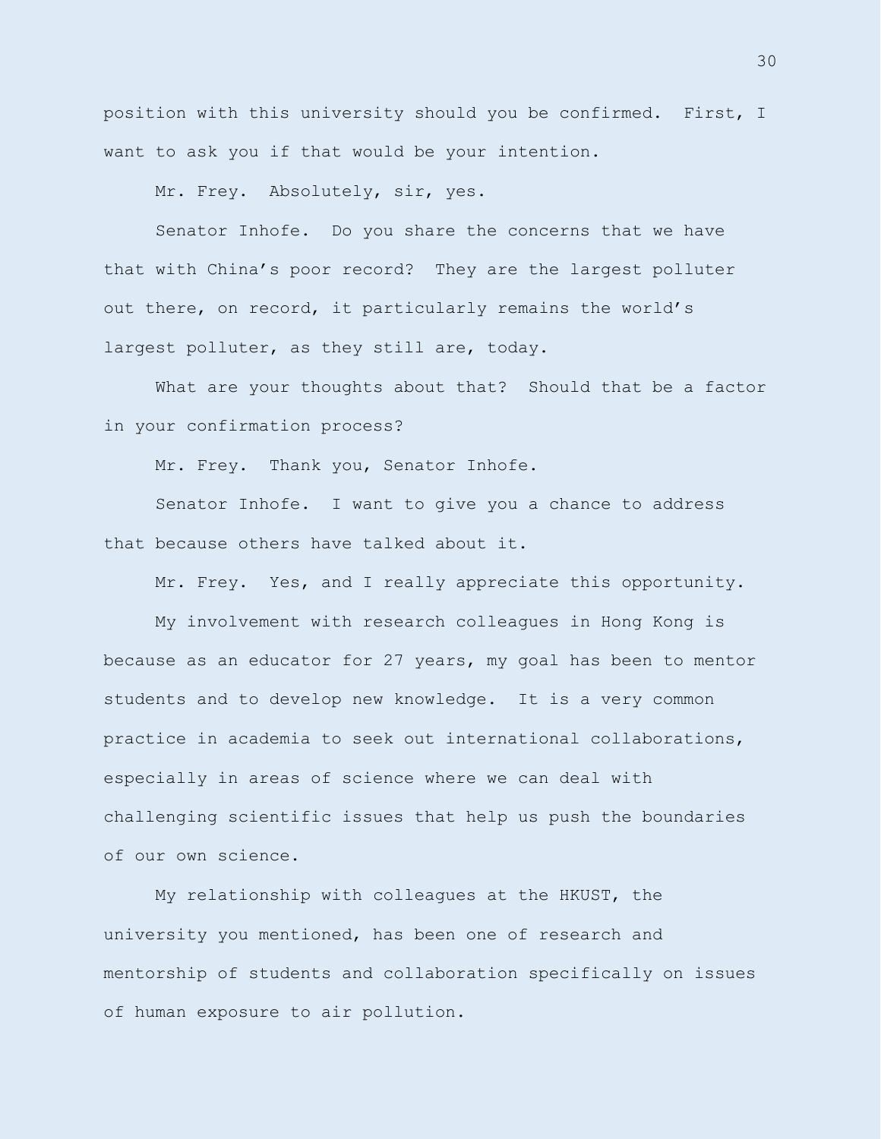position with this university should you be confirmed. First, I want to ask you if that would be your intention.

Mr. Frey. Absolutely, sir, yes.

Senator Inhofe. Do you share the concerns that we have that with China's poor record? They are the largest polluter out there, on record, it particularly remains the world's largest polluter, as they still are, today.

What are your thoughts about that? Should that be a factor in your confirmation process?

Mr. Frey. Thank you, Senator Inhofe.

Senator Inhofe. I want to give you a chance to address that because others have talked about it.

Mr. Frey. Yes, and I really appreciate this opportunity.

My involvement with research colleagues in Hong Kong is because as an educator for 27 years, my goal has been to mentor students and to develop new knowledge. It is a very common practice in academia to seek out international collaborations, especially in areas of science where we can deal with challenging scientific issues that help us push the boundaries of our own science.

My relationship with colleagues at the HKUST, the university you mentioned, has been one of research and mentorship of students and collaboration specifically on issues of human exposure to air pollution.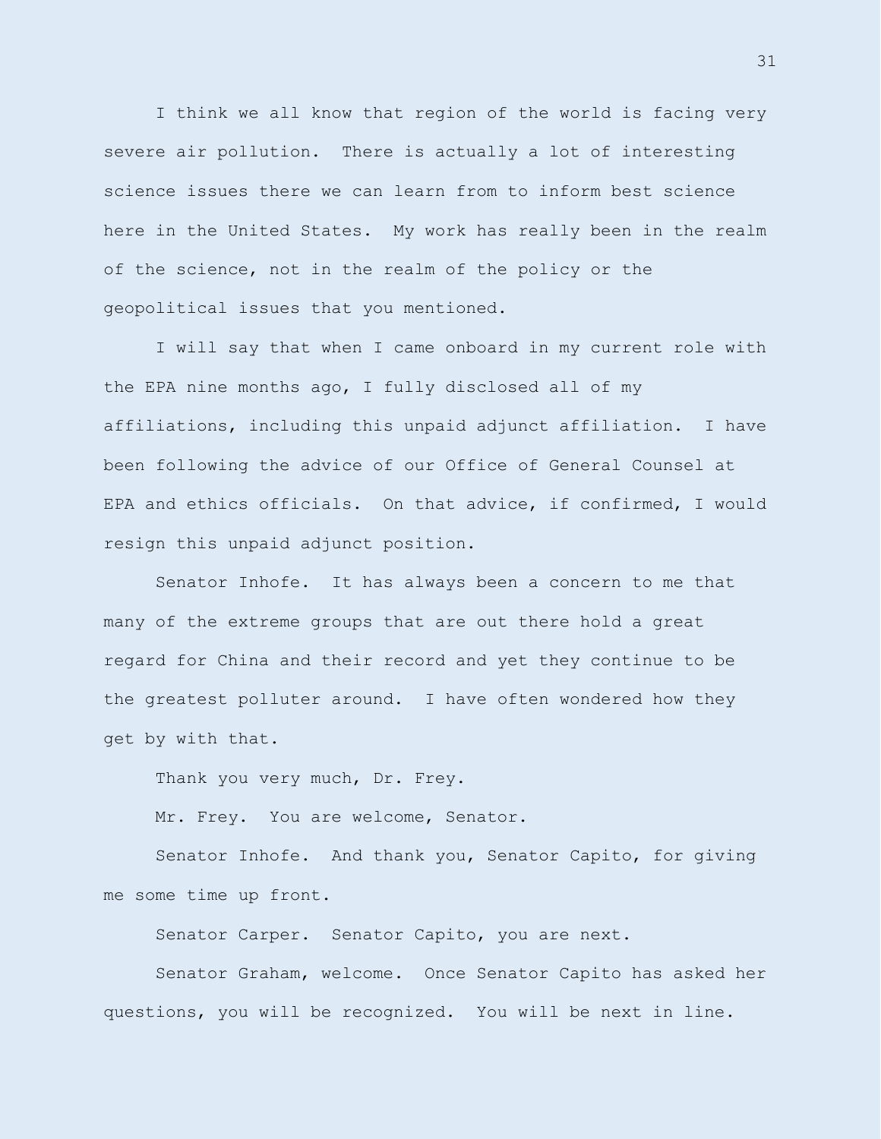I think we all know that region of the world is facing very severe air pollution. There is actually a lot of interesting science issues there we can learn from to inform best science here in the United States. My work has really been in the realm of the science, not in the realm of the policy or the geopolitical issues that you mentioned.

I will say that when I came onboard in my current role with the EPA nine months ago, I fully disclosed all of my affiliations, including this unpaid adjunct affiliation. I have been following the advice of our Office of General Counsel at EPA and ethics officials. On that advice, if confirmed, I would resign this unpaid adjunct position.

Senator Inhofe. It has always been a concern to me that many of the extreme groups that are out there hold a great regard for China and their record and yet they continue to be the greatest polluter around. I have often wondered how they get by with that.

Thank you very much, Dr. Frey.

Mr. Frey. You are welcome, Senator.

Senator Inhofe. And thank you, Senator Capito, for giving me some time up front.

Senator Carper. Senator Capito, you are next.

Senator Graham, welcome. Once Senator Capito has asked her questions, you will be recognized. You will be next in line.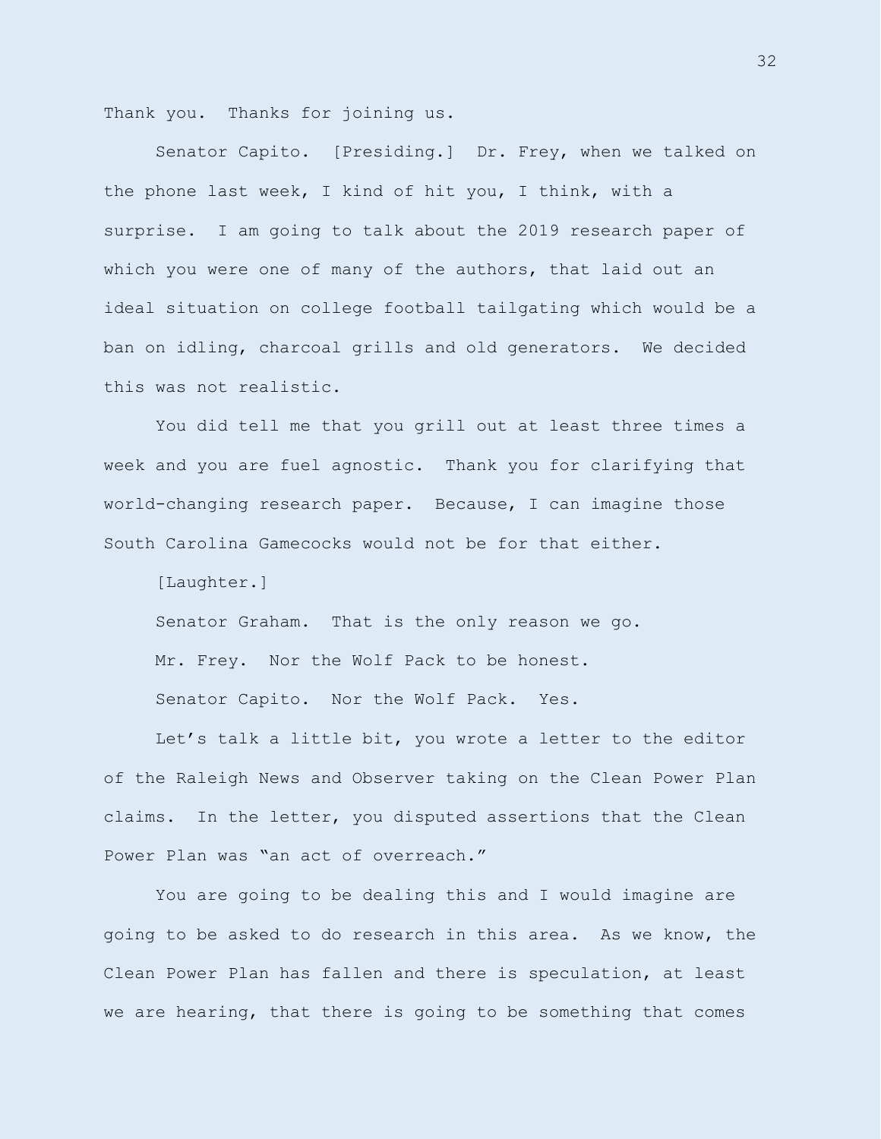Thank you. Thanks for joining us.

Senator Capito. [Presiding.] Dr. Frey, when we talked on the phone last week, I kind of hit you, I think, with a surprise. I am going to talk about the 2019 research paper of which you were one of many of the authors, that laid out an ideal situation on college football tailgating which would be a ban on idling, charcoal grills and old generators. We decided this was not realistic.

You did tell me that you grill out at least three times a week and you are fuel agnostic. Thank you for clarifying that world-changing research paper. Because, I can imagine those South Carolina Gamecocks would not be for that either.

[Laughter.]

Senator Graham. That is the only reason we go. Mr. Frey. Nor the Wolf Pack to be honest. Senator Capito. Nor the Wolf Pack. Yes.

Let's talk a little bit, you wrote a letter to the editor of the Raleigh News and Observer taking on the Clean Power Plan claims. In the letter, you disputed assertions that the Clean Power Plan was "an act of overreach."

You are going to be dealing this and I would imagine are going to be asked to do research in this area. As we know, the Clean Power Plan has fallen and there is speculation, at least we are hearing, that there is going to be something that comes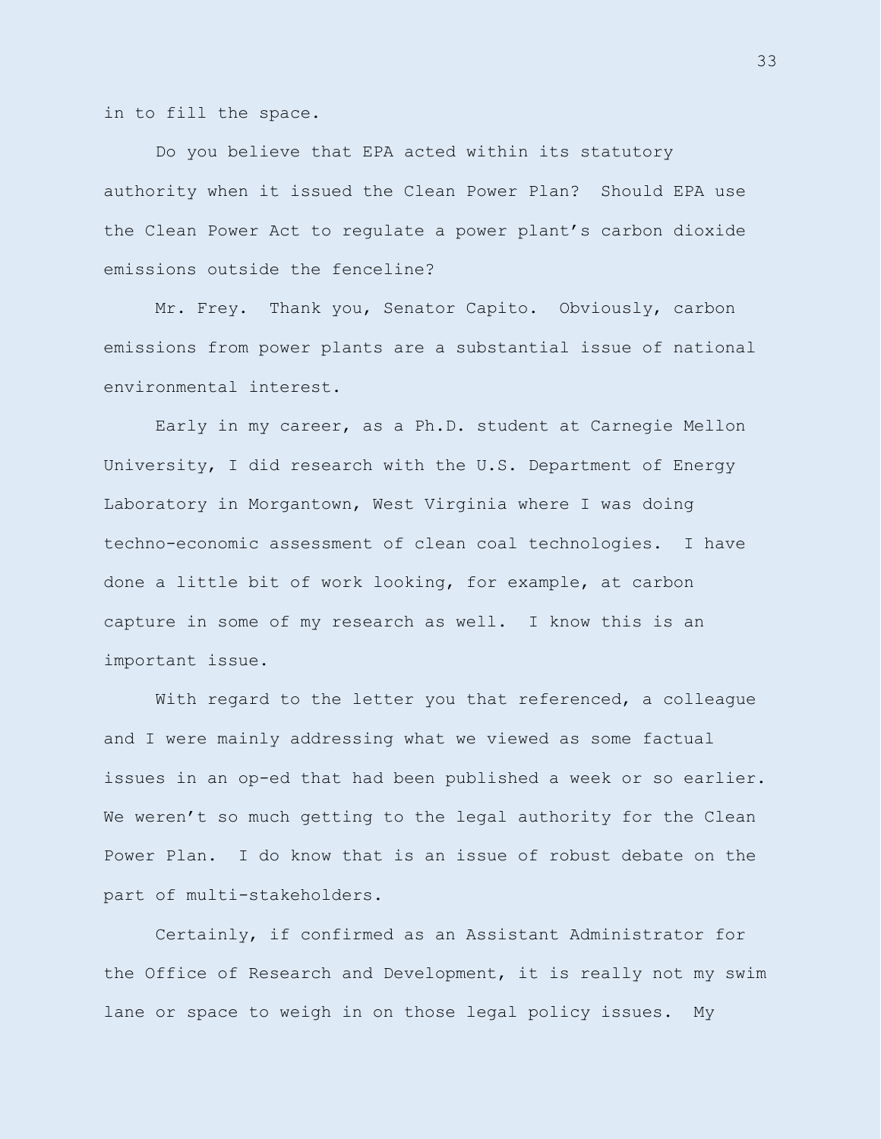in to fill the space.

Do you believe that EPA acted within its statutory authority when it issued the Clean Power Plan? Should EPA use the Clean Power Act to regulate a power plant's carbon dioxide emissions outside the fenceline?

Mr. Frey. Thank you, Senator Capito. Obviously, carbon emissions from power plants are a substantial issue of national environmental interest.

Early in my career, as a Ph.D. student at Carnegie Mellon University, I did research with the U.S. Department of Energy Laboratory in Morgantown, West Virginia where I was doing techno-economic assessment of clean coal technologies. I have done a little bit of work looking, for example, at carbon capture in some of my research as well. I know this is an important issue.

With regard to the letter you that referenced, a colleague and I were mainly addressing what we viewed as some factual issues in an op-ed that had been published a week or so earlier. We weren't so much getting to the legal authority for the Clean Power Plan. I do know that is an issue of robust debate on the part of multi-stakeholders.

Certainly, if confirmed as an Assistant Administrator for the Office of Research and Development, it is really not my swim lane or space to weigh in on those legal policy issues. My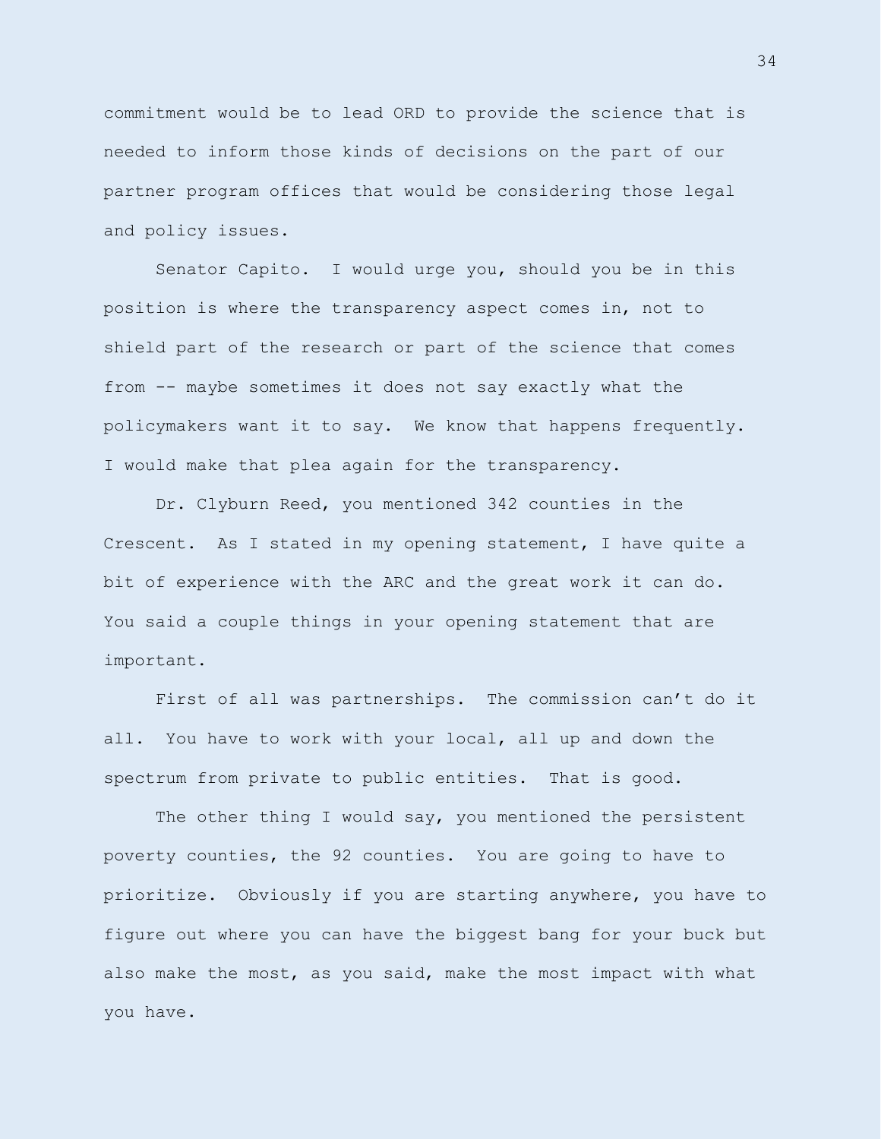commitment would be to lead ORD to provide the science that is needed to inform those kinds of decisions on the part of our partner program offices that would be considering those legal and policy issues.

Senator Capito. I would urge you, should you be in this position is where the transparency aspect comes in, not to shield part of the research or part of the science that comes from -- maybe sometimes it does not say exactly what the policymakers want it to say. We know that happens frequently. I would make that plea again for the transparency.

Dr. Clyburn Reed, you mentioned 342 counties in the Crescent. As I stated in my opening statement, I have quite a bit of experience with the ARC and the great work it can do. You said a couple things in your opening statement that are important.

First of all was partnerships. The commission can't do it all. You have to work with your local, all up and down the spectrum from private to public entities. That is good.

The other thing I would say, you mentioned the persistent poverty counties, the 92 counties. You are going to have to prioritize. Obviously if you are starting anywhere, you have to figure out where you can have the biggest bang for your buck but also make the most, as you said, make the most impact with what you have.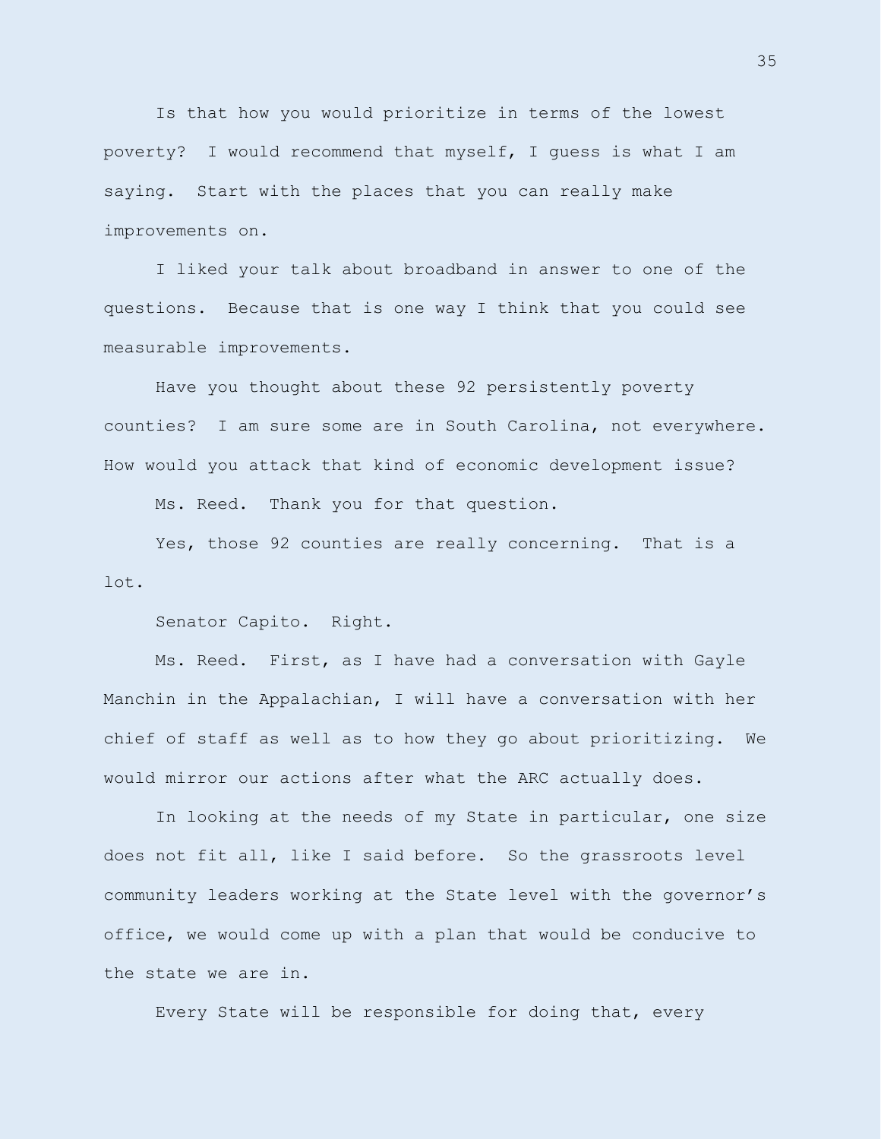Is that how you would prioritize in terms of the lowest poverty? I would recommend that myself, I guess is what I am saying. Start with the places that you can really make improvements on.

I liked your talk about broadband in answer to one of the questions. Because that is one way I think that you could see measurable improvements.

Have you thought about these 92 persistently poverty counties? I am sure some are in South Carolina, not everywhere. How would you attack that kind of economic development issue?

Ms. Reed. Thank you for that question.

Yes, those 92 counties are really concerning. That is a lot.

Senator Capito. Right.

Ms. Reed. First, as I have had a conversation with Gayle Manchin in the Appalachian, I will have a conversation with her chief of staff as well as to how they go about prioritizing. We would mirror our actions after what the ARC actually does.

In looking at the needs of my State in particular, one size does not fit all, like I said before. So the grassroots level community leaders working at the State level with the governor's office, we would come up with a plan that would be conducive to the state we are in.

Every State will be responsible for doing that, every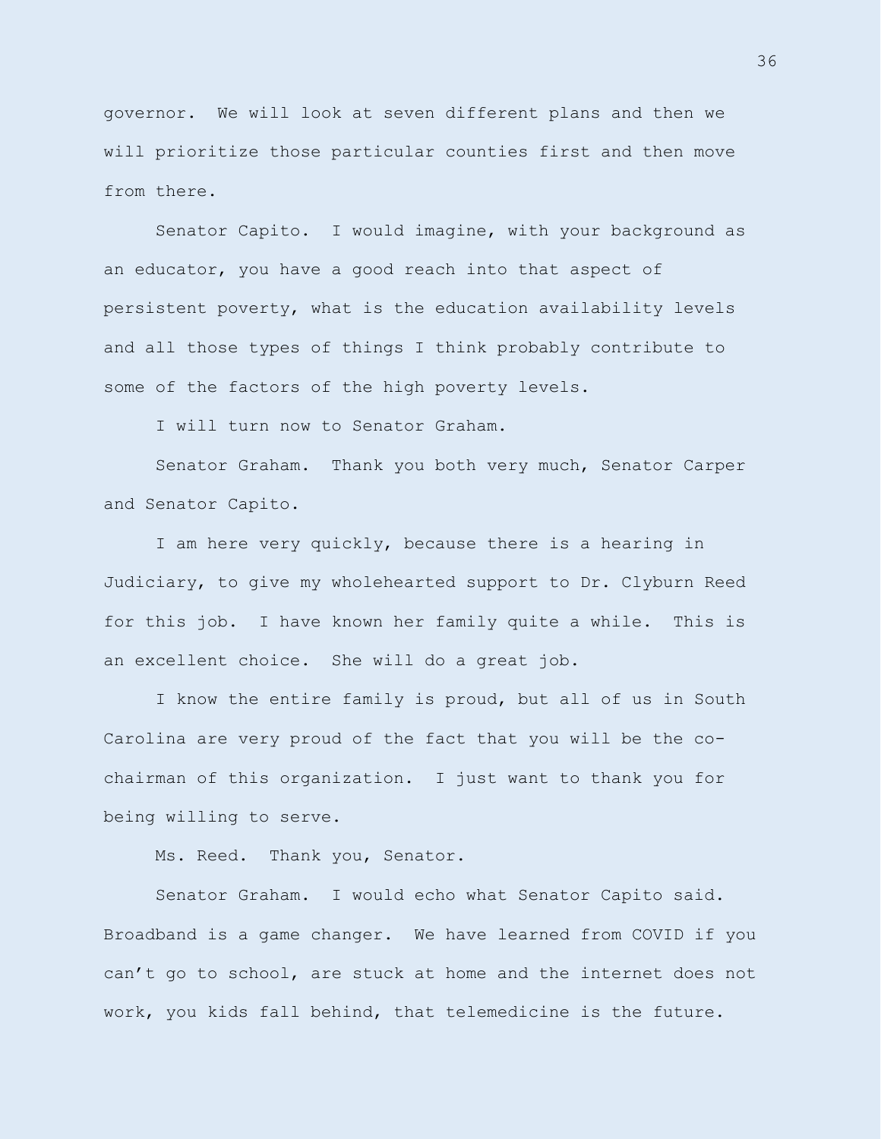governor. We will look at seven different plans and then we will prioritize those particular counties first and then move from there.

Senator Capito. I would imagine, with your background as an educator, you have a good reach into that aspect of persistent poverty, what is the education availability levels and all those types of things I think probably contribute to some of the factors of the high poverty levels.

I will turn now to Senator Graham.

Senator Graham. Thank you both very much, Senator Carper and Senator Capito.

I am here very quickly, because there is a hearing in Judiciary, to give my wholehearted support to Dr. Clyburn Reed for this job. I have known her family quite a while. This is an excellent choice. She will do a great job.

I know the entire family is proud, but all of us in South Carolina are very proud of the fact that you will be the cochairman of this organization. I just want to thank you for being willing to serve.

Ms. Reed. Thank you, Senator.

Senator Graham. I would echo what Senator Capito said. Broadband is a game changer. We have learned from COVID if you can't go to school, are stuck at home and the internet does not work, you kids fall behind, that telemedicine is the future.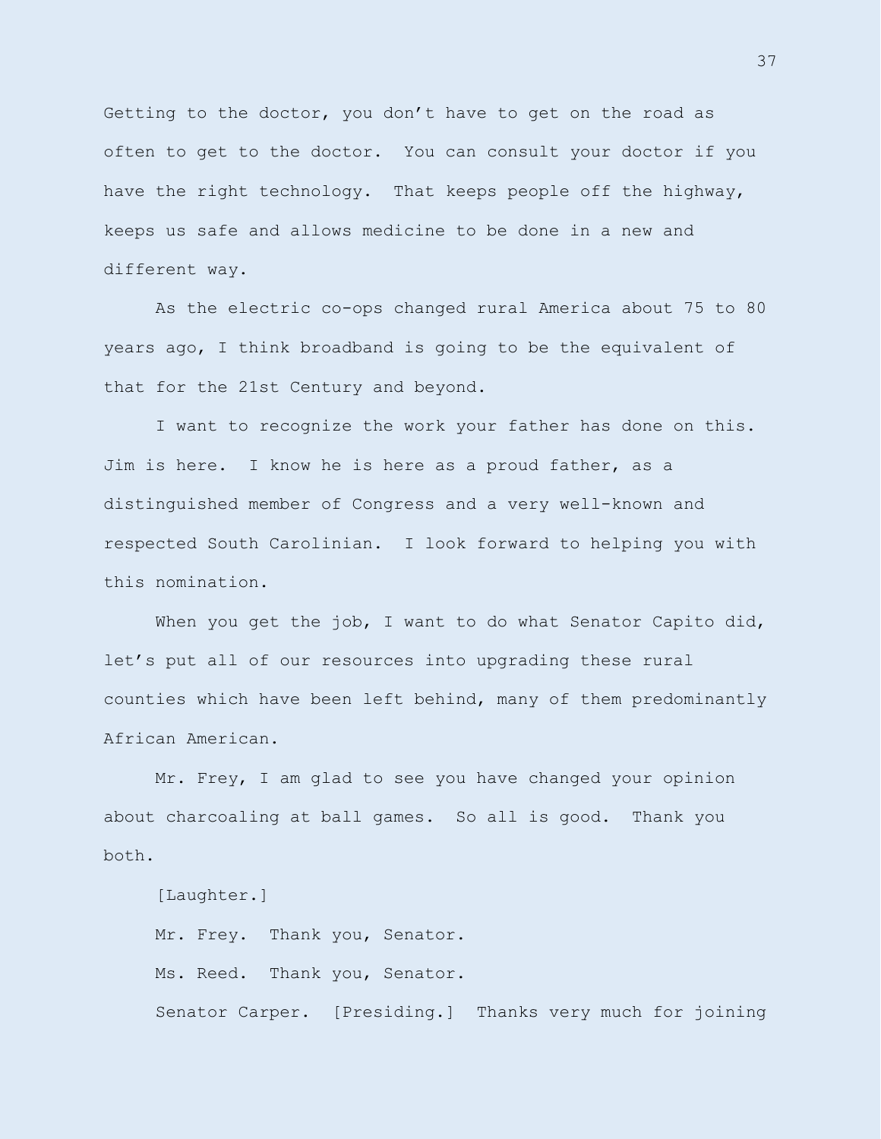Getting to the doctor, you don't have to get on the road as often to get to the doctor. You can consult your doctor if you have the right technology. That keeps people off the highway, keeps us safe and allows medicine to be done in a new and different way.

As the electric co-ops changed rural America about 75 to 80 years ago, I think broadband is going to be the equivalent of that for the 21st Century and beyond.

I want to recognize the work your father has done on this. Jim is here. I know he is here as a proud father, as a distinguished member of Congress and a very well-known and respected South Carolinian. I look forward to helping you with this nomination.

When you get the job, I want to do what Senator Capito did, let's put all of our resources into upgrading these rural counties which have been left behind, many of them predominantly African American.

Mr. Frey, I am glad to see you have changed your opinion about charcoaling at ball games. So all is good. Thank you both.

[Laughter.]

Mr. Frey. Thank you, Senator. Ms. Reed. Thank you, Senator. Senator Carper. [Presiding.] Thanks very much for joining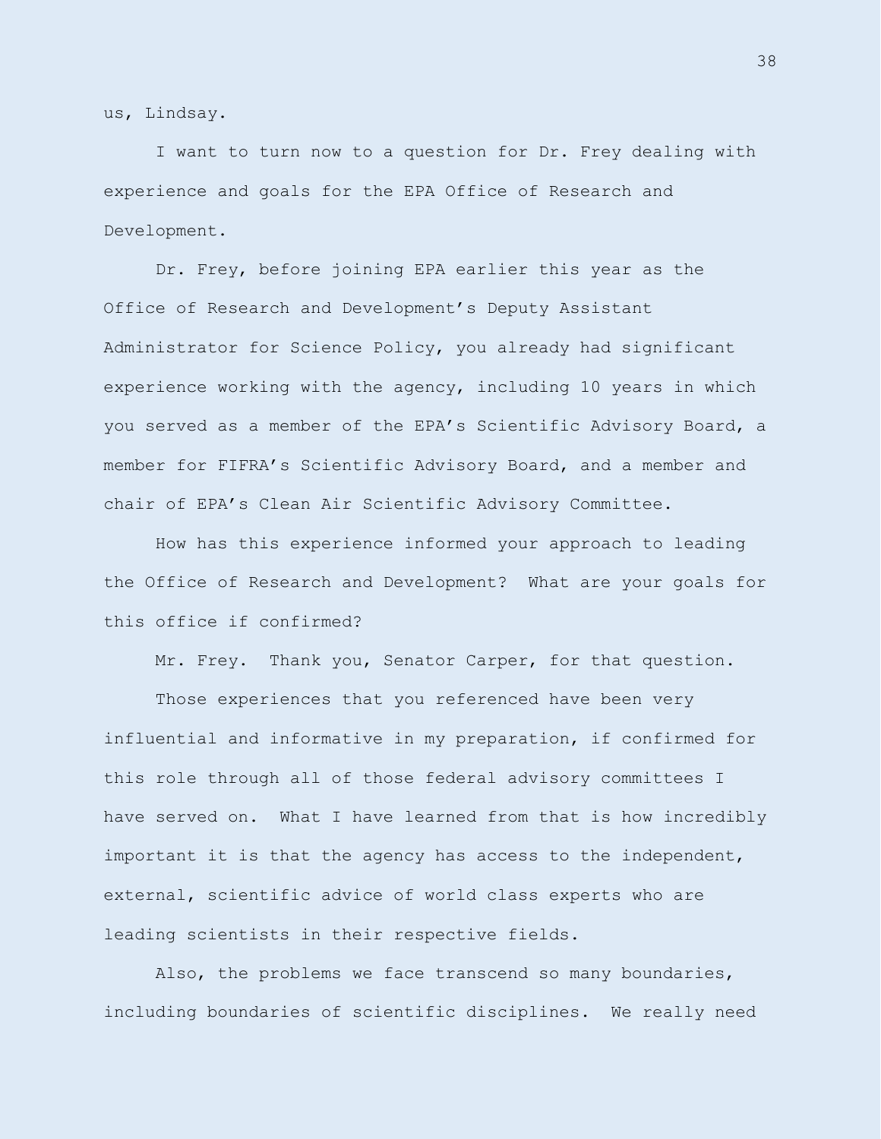us, Lindsay.

I want to turn now to a question for Dr. Frey dealing with experience and goals for the EPA Office of Research and Development.

Dr. Frey, before joining EPA earlier this year as the Office of Research and Development's Deputy Assistant Administrator for Science Policy, you already had significant experience working with the agency, including 10 years in which you served as a member of the EPA's Scientific Advisory Board, a member for FIFRA's Scientific Advisory Board, and a member and chair of EPA's Clean Air Scientific Advisory Committee.

How has this experience informed your approach to leading the Office of Research and Development? What are your goals for this office if confirmed?

Mr. Frey. Thank you, Senator Carper, for that question.

Those experiences that you referenced have been very influential and informative in my preparation, if confirmed for this role through all of those federal advisory committees I have served on. What I have learned from that is how incredibly important it is that the agency has access to the independent, external, scientific advice of world class experts who are leading scientists in their respective fields.

Also, the problems we face transcend so many boundaries, including boundaries of scientific disciplines. We really need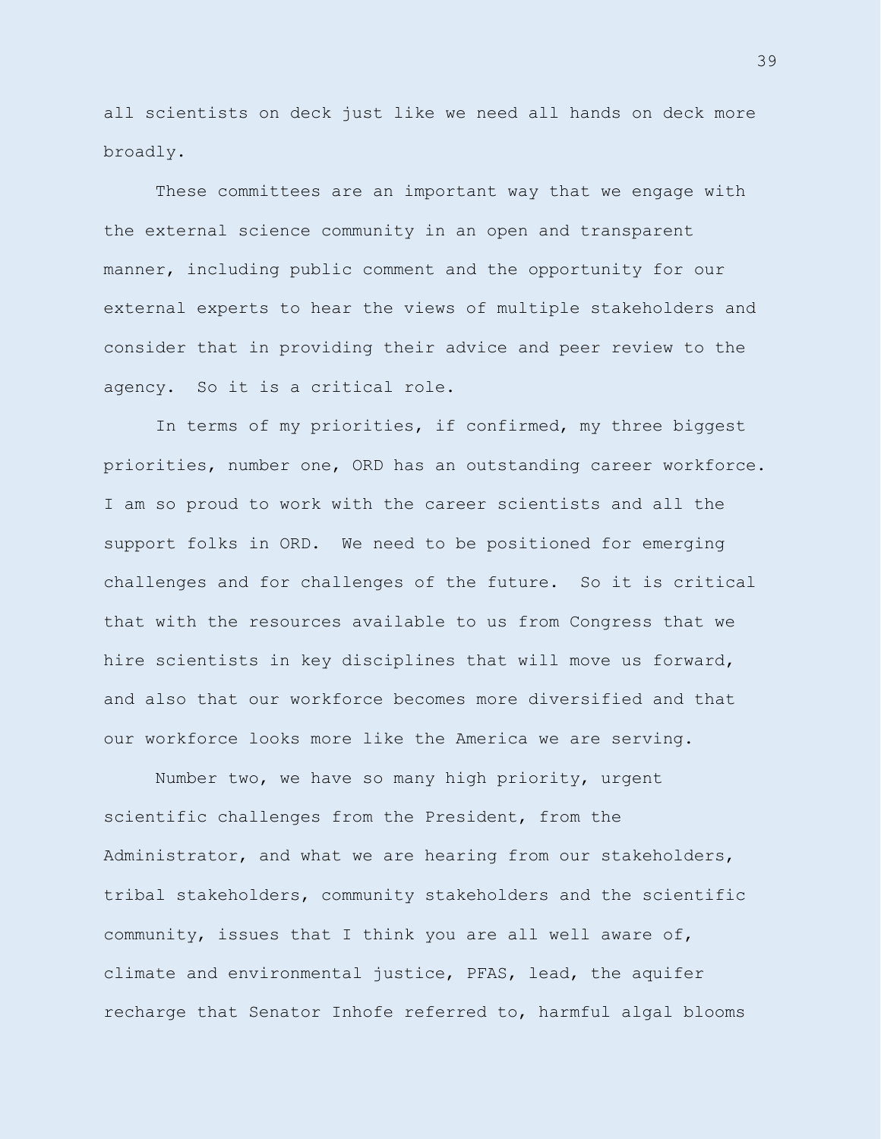all scientists on deck just like we need all hands on deck more broadly.

These committees are an important way that we engage with the external science community in an open and transparent manner, including public comment and the opportunity for our external experts to hear the views of multiple stakeholders and consider that in providing their advice and peer review to the agency. So it is a critical role.

In terms of my priorities, if confirmed, my three biggest priorities, number one, ORD has an outstanding career workforce. I am so proud to work with the career scientists and all the support folks in ORD. We need to be positioned for emerging challenges and for challenges of the future. So it is critical that with the resources available to us from Congress that we hire scientists in key disciplines that will move us forward, and also that our workforce becomes more diversified and that our workforce looks more like the America we are serving.

Number two, we have so many high priority, urgent scientific challenges from the President, from the Administrator, and what we are hearing from our stakeholders, tribal stakeholders, community stakeholders and the scientific community, issues that I think you are all well aware of, climate and environmental justice, PFAS, lead, the aquifer recharge that Senator Inhofe referred to, harmful algal blooms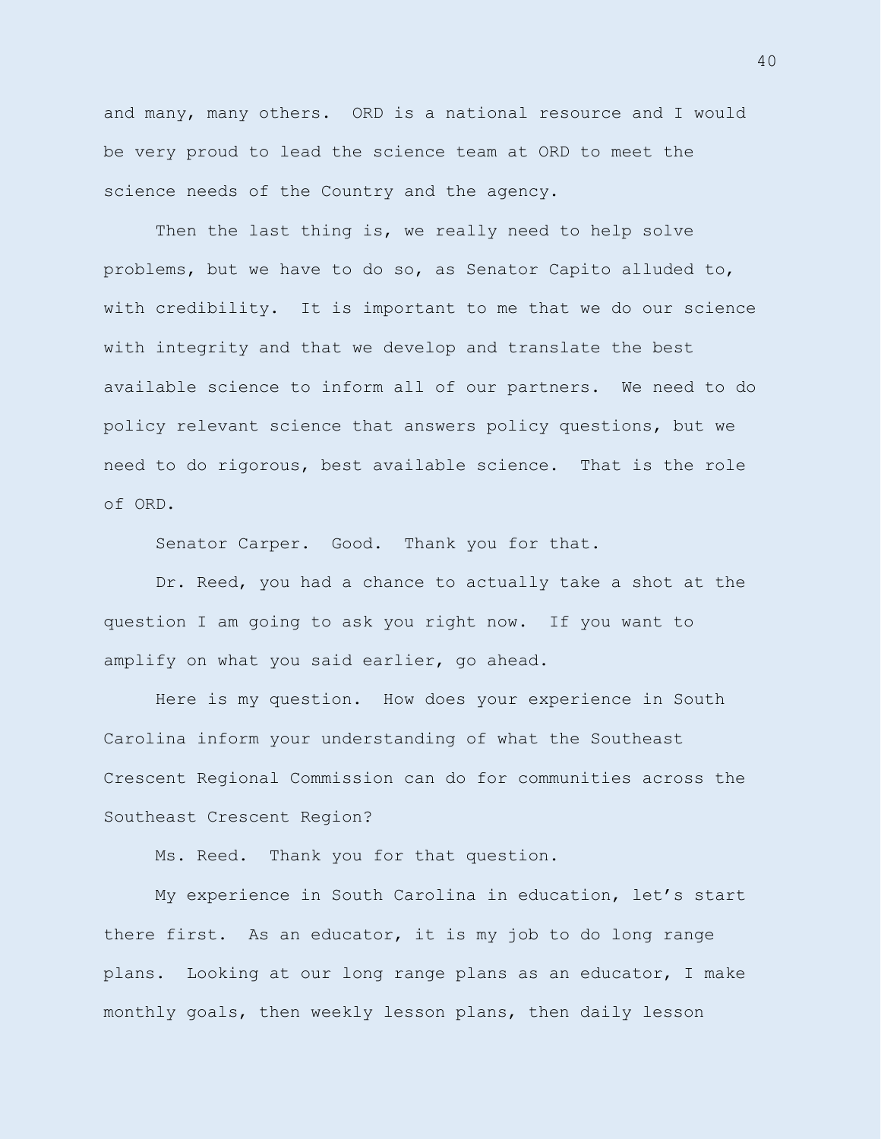and many, many others. ORD is a national resource and I would be very proud to lead the science team at ORD to meet the science needs of the Country and the agency.

Then the last thing is, we really need to help solve problems, but we have to do so, as Senator Capito alluded to, with credibility. It is important to me that we do our science with integrity and that we develop and translate the best available science to inform all of our partners. We need to do policy relevant science that answers policy questions, but we need to do rigorous, best available science. That is the role of ORD.

Senator Carper. Good. Thank you for that.

Dr. Reed, you had a chance to actually take a shot at the question I am going to ask you right now. If you want to amplify on what you said earlier, go ahead.

Here is my question. How does your experience in South Carolina inform your understanding of what the Southeast Crescent Regional Commission can do for communities across the Southeast Crescent Region?

Ms. Reed. Thank you for that question.

My experience in South Carolina in education, let's start there first. As an educator, it is my job to do long range plans. Looking at our long range plans as an educator, I make monthly goals, then weekly lesson plans, then daily lesson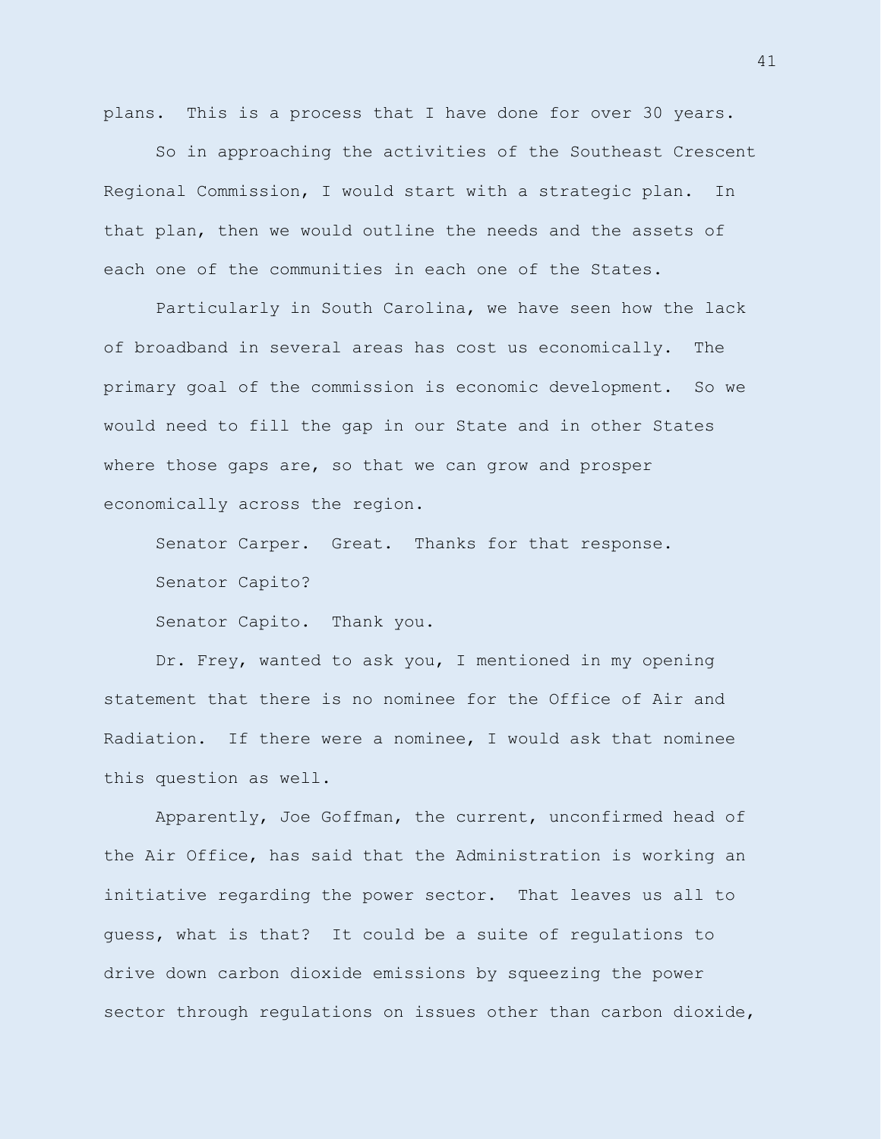plans. This is a process that I have done for over 30 years.

So in approaching the activities of the Southeast Crescent Regional Commission, I would start with a strategic plan. In that plan, then we would outline the needs and the assets of each one of the communities in each one of the States.

Particularly in South Carolina, we have seen how the lack of broadband in several areas has cost us economically. The primary goal of the commission is economic development. So we would need to fill the gap in our State and in other States where those gaps are, so that we can grow and prosper economically across the region.

Senator Carper. Great. Thanks for that response. Senator Capito?

Senator Capito. Thank you.

Dr. Frey, wanted to ask you, I mentioned in my opening statement that there is no nominee for the Office of Air and Radiation. If there were a nominee, I would ask that nominee this question as well.

Apparently, Joe Goffman, the current, unconfirmed head of the Air Office, has said that the Administration is working an initiative regarding the power sector. That leaves us all to guess, what is that? It could be a suite of regulations to drive down carbon dioxide emissions by squeezing the power sector through regulations on issues other than carbon dioxide,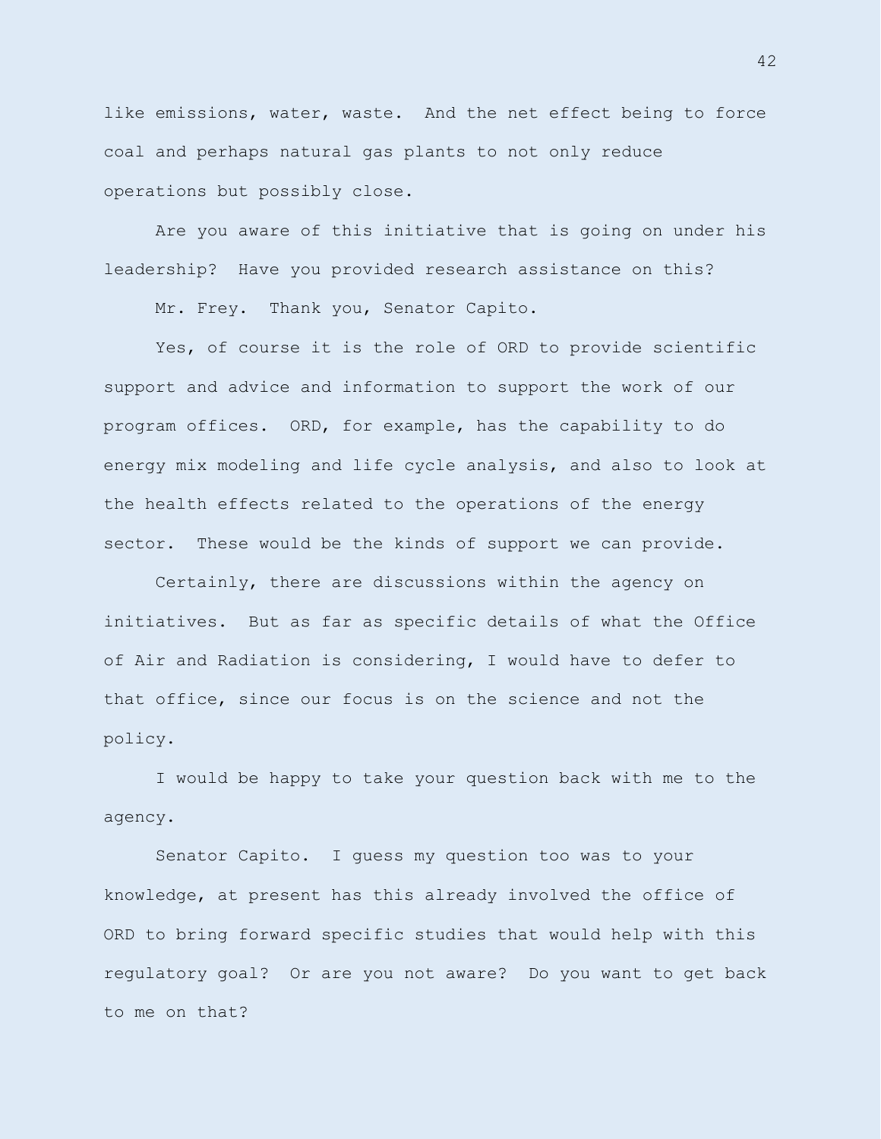like emissions, water, waste. And the net effect being to force coal and perhaps natural gas plants to not only reduce operations but possibly close.

Are you aware of this initiative that is going on under his leadership? Have you provided research assistance on this?

Mr. Frey. Thank you, Senator Capito.

Yes, of course it is the role of ORD to provide scientific support and advice and information to support the work of our program offices. ORD, for example, has the capability to do energy mix modeling and life cycle analysis, and also to look at the health effects related to the operations of the energy sector. These would be the kinds of support we can provide.

Certainly, there are discussions within the agency on initiatives. But as far as specific details of what the Office of Air and Radiation is considering, I would have to defer to that office, since our focus is on the science and not the policy.

I would be happy to take your question back with me to the agency.

Senator Capito. I guess my question too was to your knowledge, at present has this already involved the office of ORD to bring forward specific studies that would help with this regulatory goal? Or are you not aware? Do you want to get back to me on that?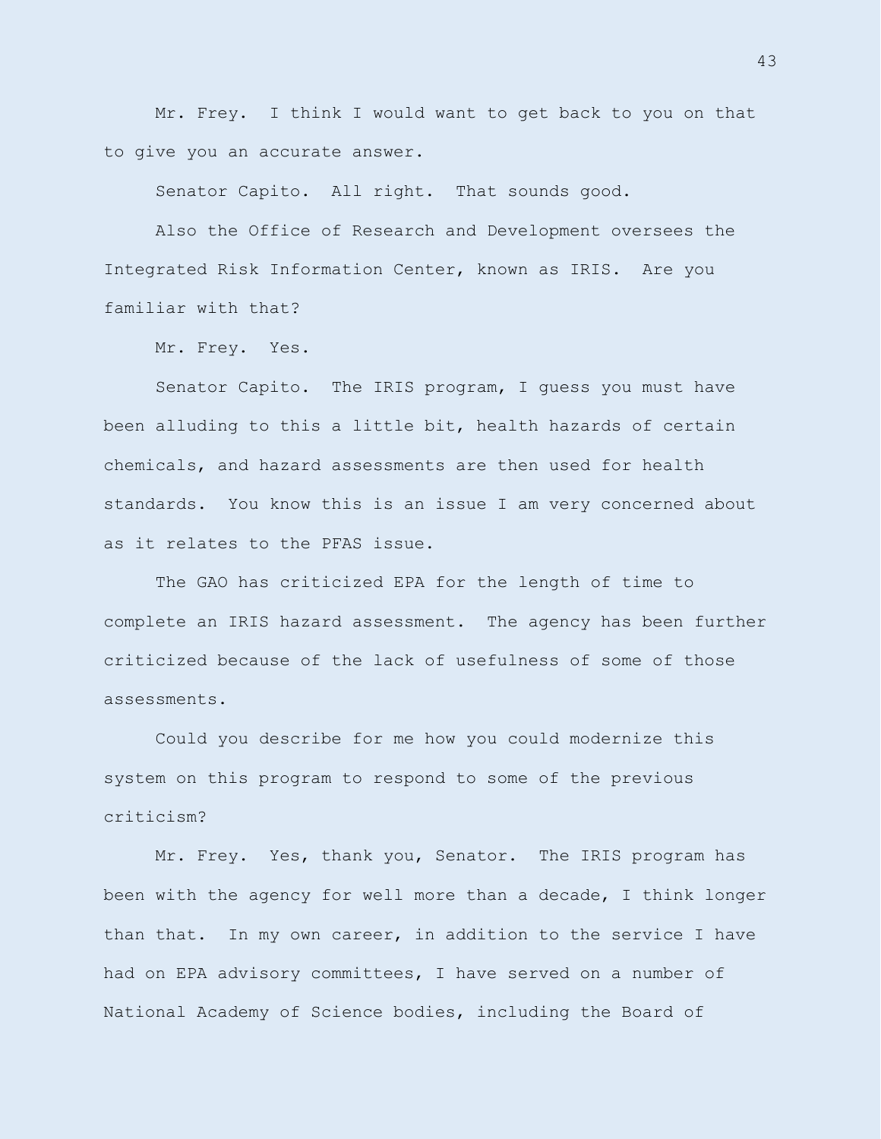Mr. Frey. I think I would want to get back to you on that to give you an accurate answer.

Senator Capito. All right. That sounds good.

Also the Office of Research and Development oversees the Integrated Risk Information Center, known as IRIS. Are you familiar with that?

Mr. Frey. Yes.

Senator Capito. The IRIS program, I guess you must have been alluding to this a little bit, health hazards of certain chemicals, and hazard assessments are then used for health standards. You know this is an issue I am very concerned about as it relates to the PFAS issue.

The GAO has criticized EPA for the length of time to complete an IRIS hazard assessment. The agency has been further criticized because of the lack of usefulness of some of those assessments.

Could you describe for me how you could modernize this system on this program to respond to some of the previous criticism?

Mr. Frey. Yes, thank you, Senator. The IRIS program has been with the agency for well more than a decade, I think longer than that. In my own career, in addition to the service I have had on EPA advisory committees, I have served on a number of National Academy of Science bodies, including the Board of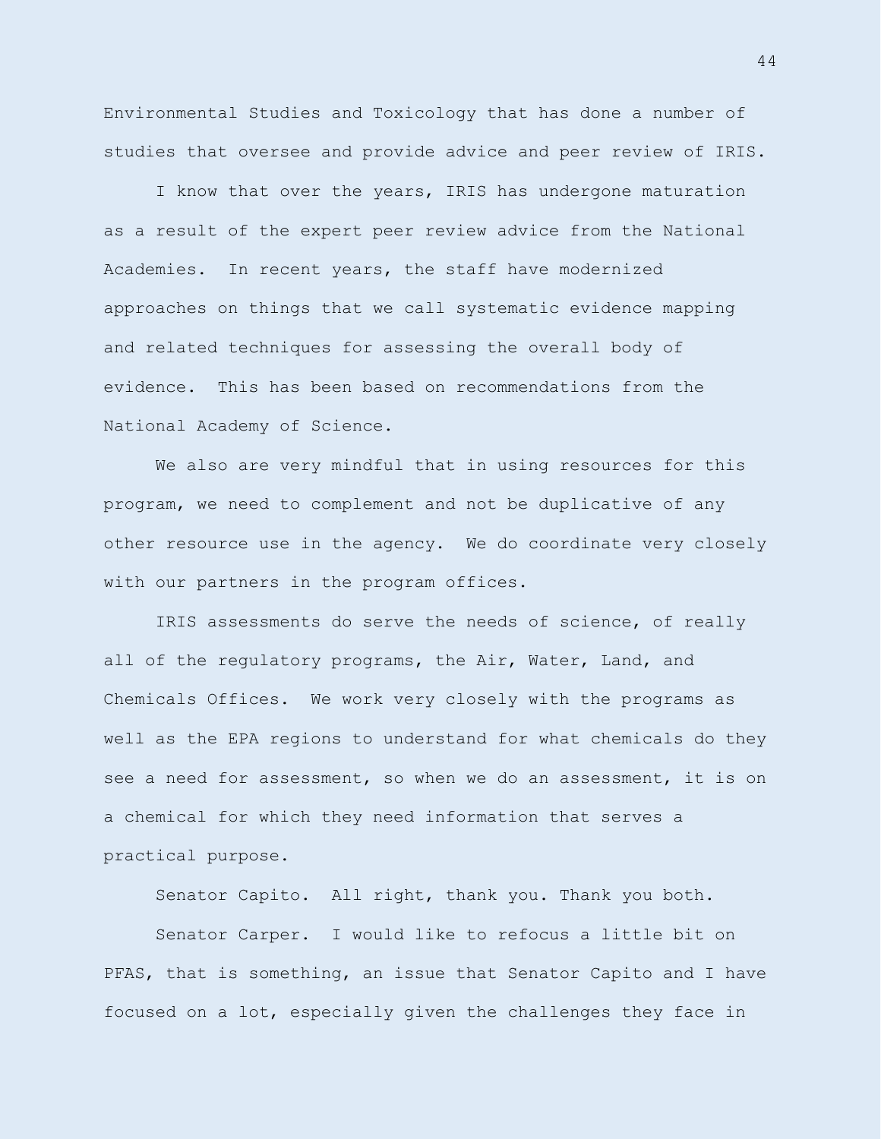Environmental Studies and Toxicology that has done a number of studies that oversee and provide advice and peer review of IRIS.

I know that over the years, IRIS has undergone maturation as a result of the expert peer review advice from the National Academies. In recent years, the staff have modernized approaches on things that we call systematic evidence mapping and related techniques for assessing the overall body of evidence. This has been based on recommendations from the National Academy of Science.

We also are very mindful that in using resources for this program, we need to complement and not be duplicative of any other resource use in the agency. We do coordinate very closely with our partners in the program offices.

IRIS assessments do serve the needs of science, of really all of the regulatory programs, the Air, Water, Land, and Chemicals Offices. We work very closely with the programs as well as the EPA regions to understand for what chemicals do they see a need for assessment, so when we do an assessment, it is on a chemical for which they need information that serves a practical purpose.

Senator Capito. All right, thank you. Thank you both.

Senator Carper. I would like to refocus a little bit on PFAS, that is something, an issue that Senator Capito and I have focused on a lot, especially given the challenges they face in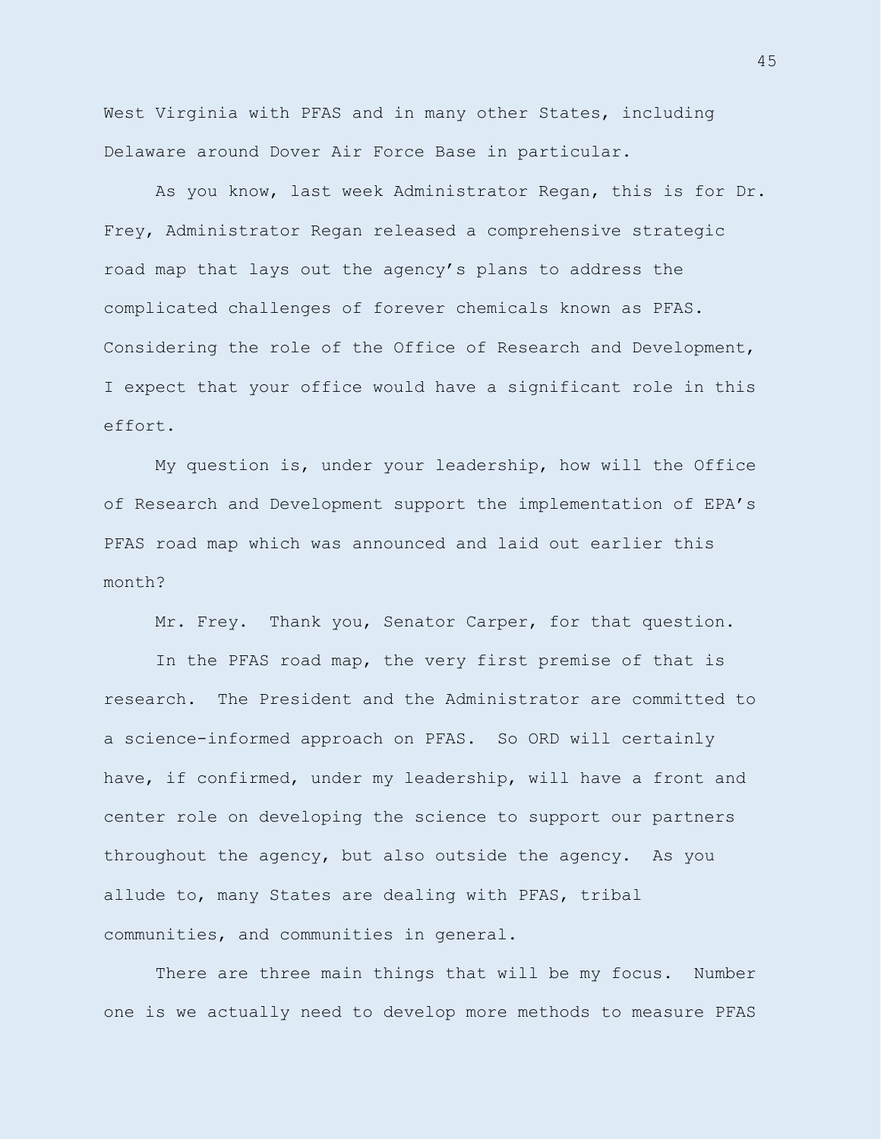West Virginia with PFAS and in many other States, including Delaware around Dover Air Force Base in particular.

As you know, last week Administrator Regan, this is for Dr. Frey, Administrator Regan released a comprehensive strategic road map that lays out the agency's plans to address the complicated challenges of forever chemicals known as PFAS. Considering the role of the Office of Research and Development, I expect that your office would have a significant role in this effort.

My question is, under your leadership, how will the Office of Research and Development support the implementation of EPA's PFAS road map which was announced and laid out earlier this month?

Mr. Frey. Thank you, Senator Carper, for that question.

In the PFAS road map, the very first premise of that is research. The President and the Administrator are committed to a science-informed approach on PFAS. So ORD will certainly have, if confirmed, under my leadership, will have a front and center role on developing the science to support our partners throughout the agency, but also outside the agency. As you allude to, many States are dealing with PFAS, tribal communities, and communities in general.

There are three main things that will be my focus. Number one is we actually need to develop more methods to measure PFAS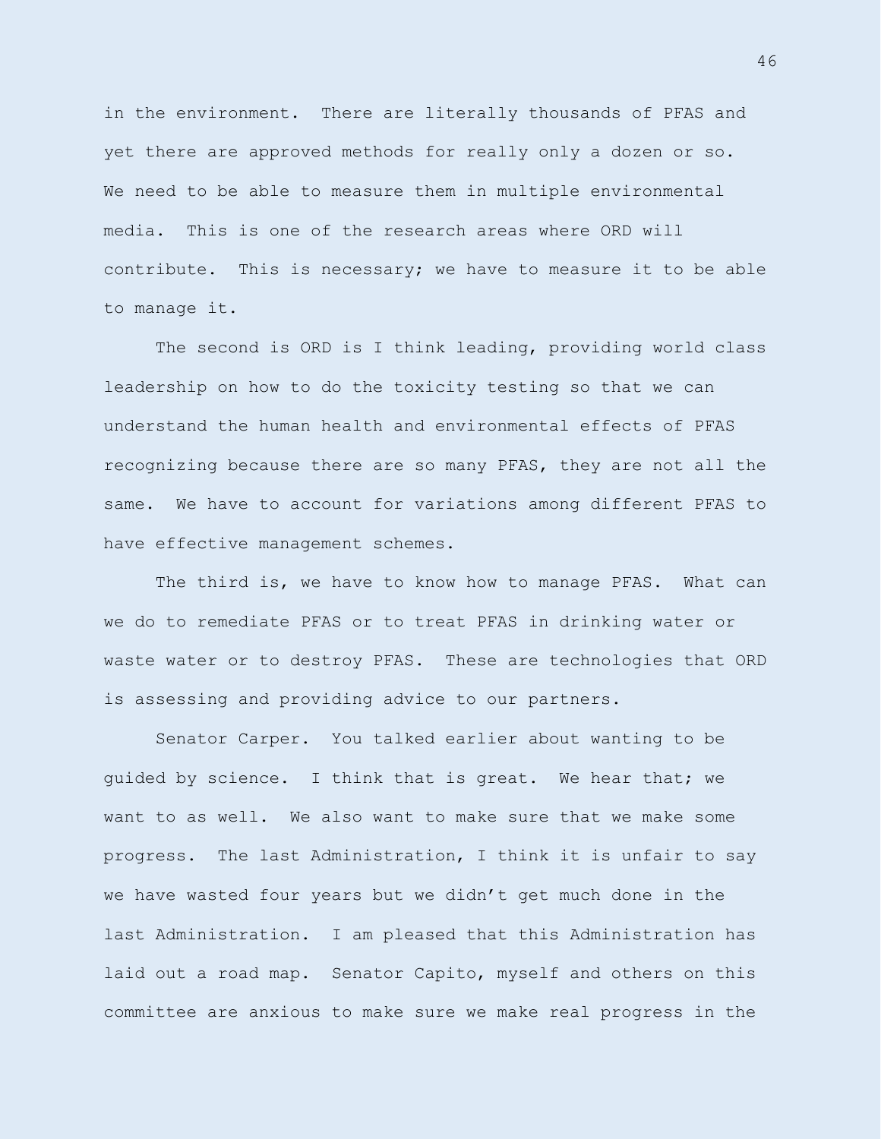in the environment. There are literally thousands of PFAS and yet there are approved methods for really only a dozen or so. We need to be able to measure them in multiple environmental media. This is one of the research areas where ORD will contribute. This is necessary; we have to measure it to be able to manage it.

The second is ORD is I think leading, providing world class leadership on how to do the toxicity testing so that we can understand the human health and environmental effects of PFAS recognizing because there are so many PFAS, they are not all the same. We have to account for variations among different PFAS to have effective management schemes.

The third is, we have to know how to manage PFAS. What can we do to remediate PFAS or to treat PFAS in drinking water or waste water or to destroy PFAS. These are technologies that ORD is assessing and providing advice to our partners.

Senator Carper. You talked earlier about wanting to be guided by science. I think that is great. We hear that; we want to as well. We also want to make sure that we make some progress. The last Administration, I think it is unfair to say we have wasted four years but we didn't get much done in the last Administration. I am pleased that this Administration has laid out a road map. Senator Capito, myself and others on this committee are anxious to make sure we make real progress in the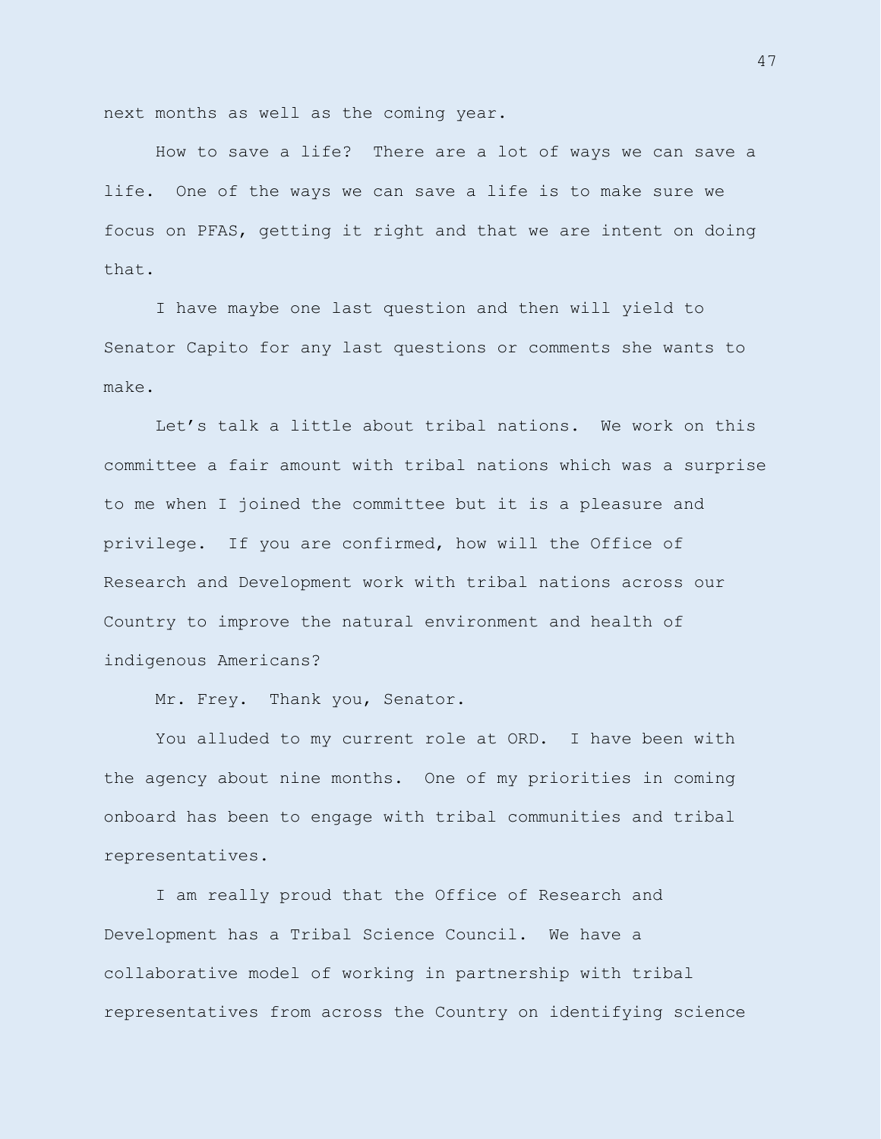next months as well as the coming year.

How to save a life? There are a lot of ways we can save a life. One of the ways we can save a life is to make sure we focus on PFAS, getting it right and that we are intent on doing that.

I have maybe one last question and then will yield to Senator Capito for any last questions or comments she wants to make.

Let's talk a little about tribal nations. We work on this committee a fair amount with tribal nations which was a surprise to me when I joined the committee but it is a pleasure and privilege. If you are confirmed, how will the Office of Research and Development work with tribal nations across our Country to improve the natural environment and health of indigenous Americans?

Mr. Frey. Thank you, Senator.

You alluded to my current role at ORD. I have been with the agency about nine months. One of my priorities in coming onboard has been to engage with tribal communities and tribal representatives.

I am really proud that the Office of Research and Development has a Tribal Science Council. We have a collaborative model of working in partnership with tribal representatives from across the Country on identifying science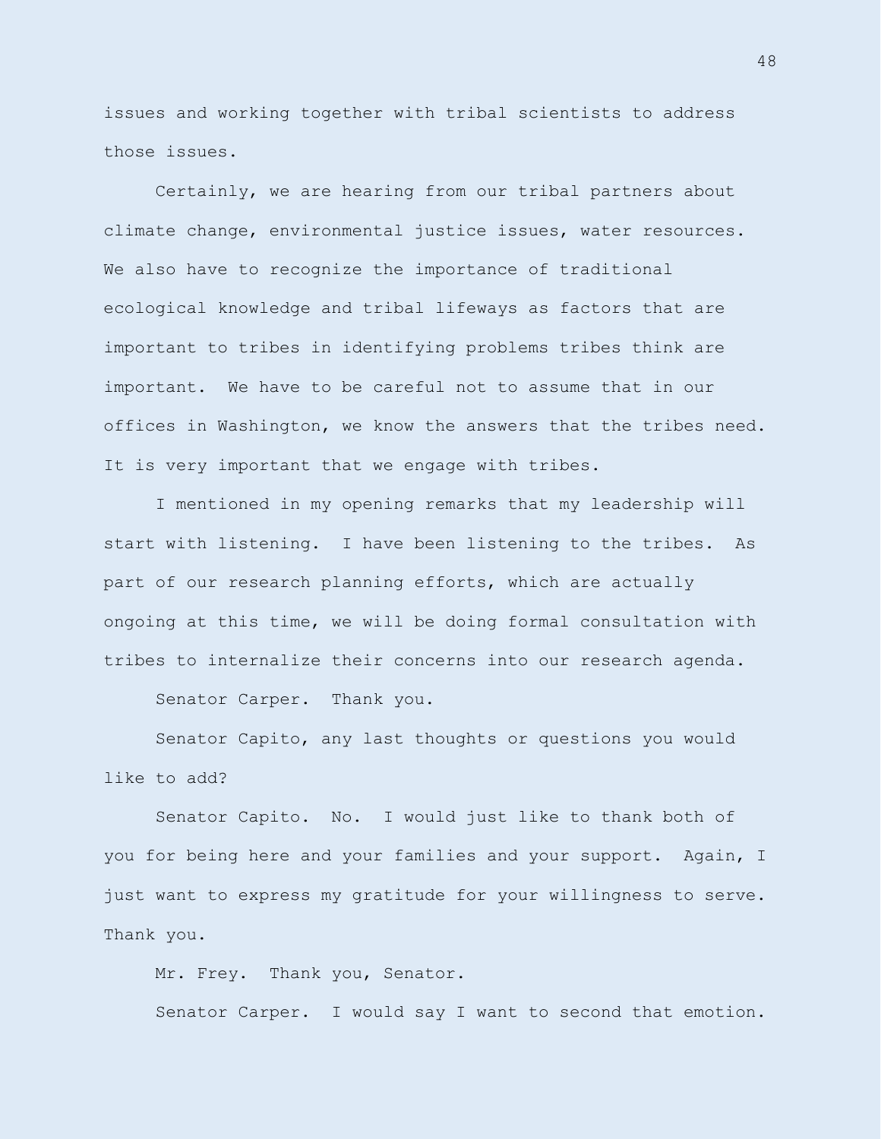issues and working together with tribal scientists to address those issues.

Certainly, we are hearing from our tribal partners about climate change, environmental justice issues, water resources. We also have to recognize the importance of traditional ecological knowledge and tribal lifeways as factors that are important to tribes in identifying problems tribes think are important. We have to be careful not to assume that in our offices in Washington, we know the answers that the tribes need. It is very important that we engage with tribes.

I mentioned in my opening remarks that my leadership will start with listening. I have been listening to the tribes. As part of our research planning efforts, which are actually ongoing at this time, we will be doing formal consultation with tribes to internalize their concerns into our research agenda.

Senator Carper. Thank you.

Senator Capito, any last thoughts or questions you would like to add?

Senator Capito. No. I would just like to thank both of you for being here and your families and your support. Again, I just want to express my gratitude for your willingness to serve. Thank you.

Mr. Frey. Thank you, Senator. Senator Carper. I would say I want to second that emotion.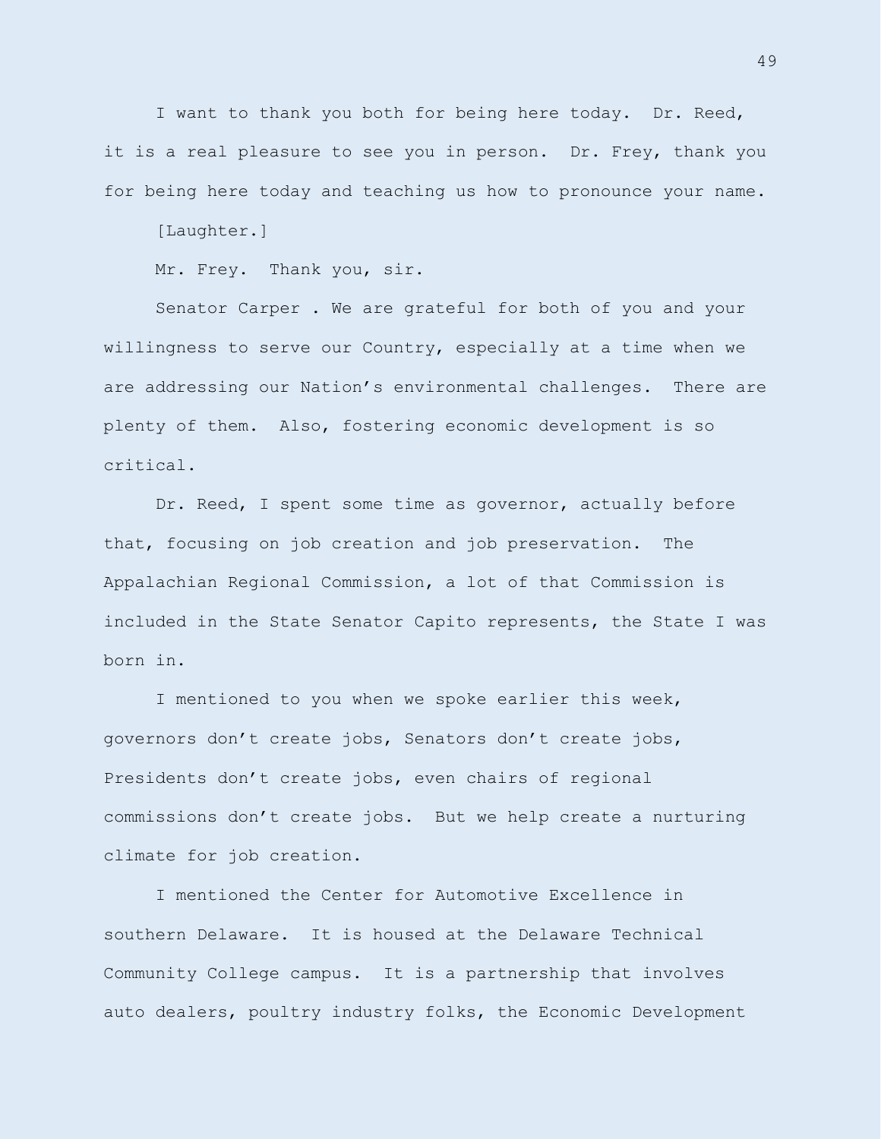I want to thank you both for being here today. Dr. Reed, it is a real pleasure to see you in person. Dr. Frey, thank you for being here today and teaching us how to pronounce your name.

[Laughter.]

Mr. Frey. Thank you, sir.

Senator Carper . We are grateful for both of you and your willingness to serve our Country, especially at a time when we are addressing our Nation's environmental challenges. There are plenty of them. Also, fostering economic development is so critical.

Dr. Reed, I spent some time as governor, actually before that, focusing on job creation and job preservation. The Appalachian Regional Commission, a lot of that Commission is included in the State Senator Capito represents, the State I was born in.

I mentioned to you when we spoke earlier this week, governors don't create jobs, Senators don't create jobs, Presidents don't create jobs, even chairs of regional commissions don't create jobs. But we help create a nurturing climate for job creation.

I mentioned the Center for Automotive Excellence in southern Delaware. It is housed at the Delaware Technical Community College campus. It is a partnership that involves auto dealers, poultry industry folks, the Economic Development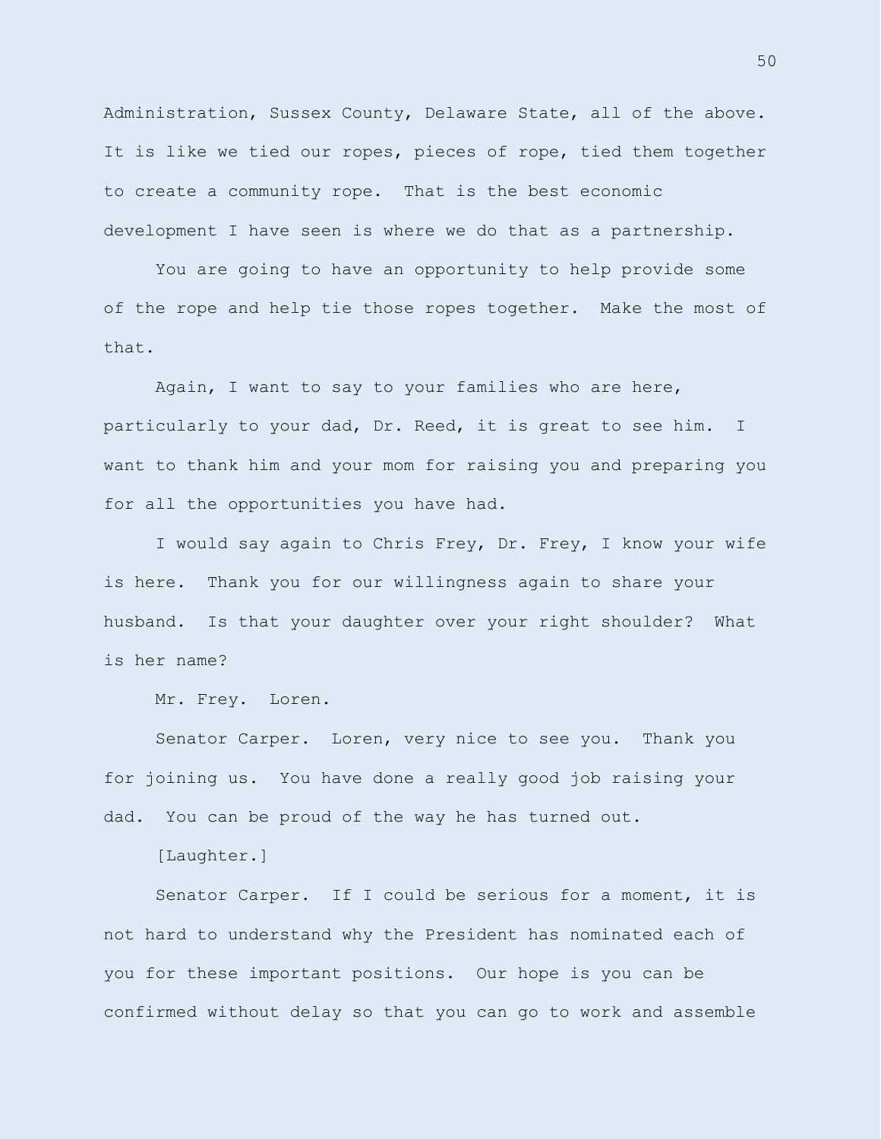Administration, Sussex County, Delaware State, all of the above. It is like we tied our ropes, pieces of rope, tied them together to create a community rope. That is the best economic development I have seen is where we do that as a partnership.

You are going to have an opportunity to help provide some of the rope and help tie those ropes together. Make the most of that.

Again, I want to say to your families who are here, particularly to your dad, Dr. Reed, it is great to see him. I want to thank him and your mom for raising you and preparing you for all the opportunities you have had.

I would say again to Chris Frey, Dr. Frey, I know your wife is here. Thank you for our willingness again to share your husband. Is that your daughter over your right shoulder? What is her name?

Mr. Frey. Loren.

Senator Carper. Loren, very nice to see you. Thank you for joining us. You have done a really good job raising your dad. You can be proud of the way he has turned out.

[Laughter.]

Senator Carper. If I could be serious for a moment, it is not hard to understand why the President has nominated each of you for these important positions. Our hope is you can be confirmed without delay so that you can go to work and assemble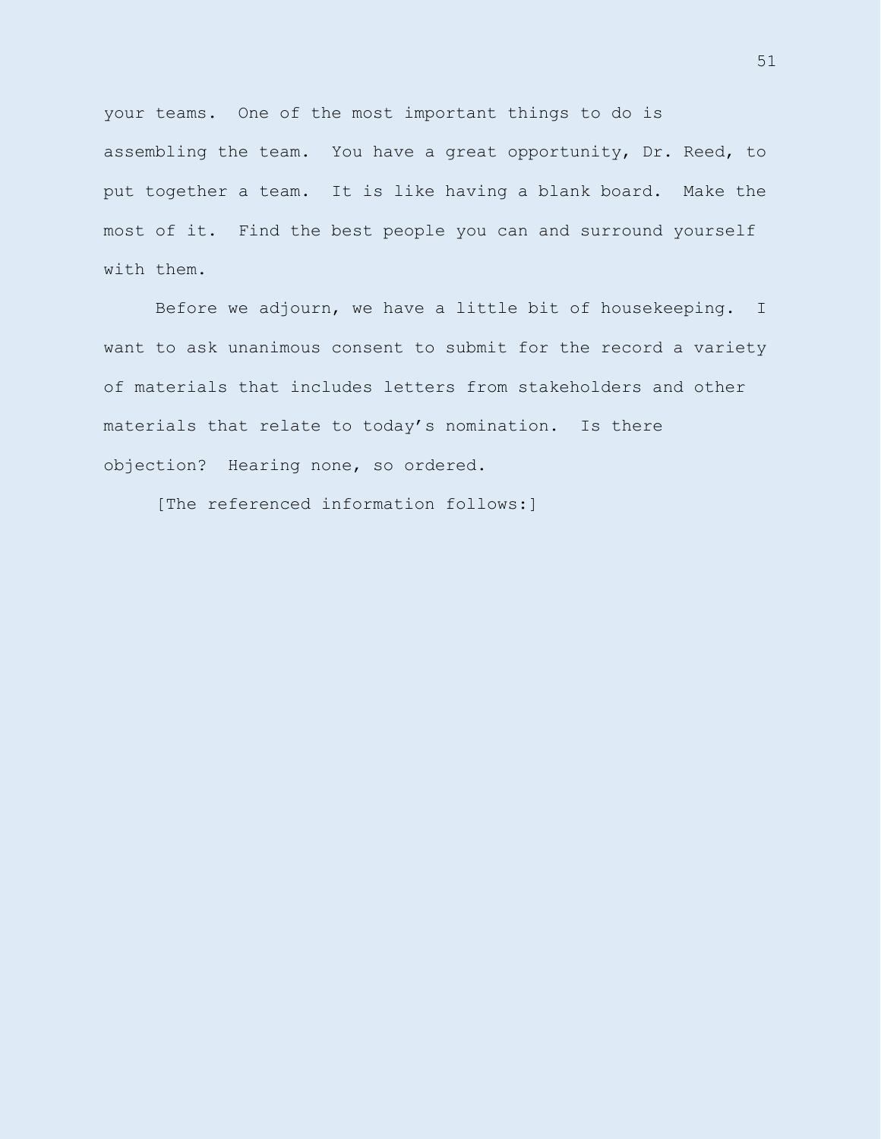your teams. One of the most important things to do is assembling the team. You have a great opportunity, Dr. Reed, to put together a team. It is like having a blank board. Make the most of it. Find the best people you can and surround yourself with them.

Before we adjourn, we have a little bit of housekeeping. I want to ask unanimous consent to submit for the record a variety of materials that includes letters from stakeholders and other materials that relate to today's nomination. Is there objection? Hearing none, so ordered.

[The referenced information follows:]